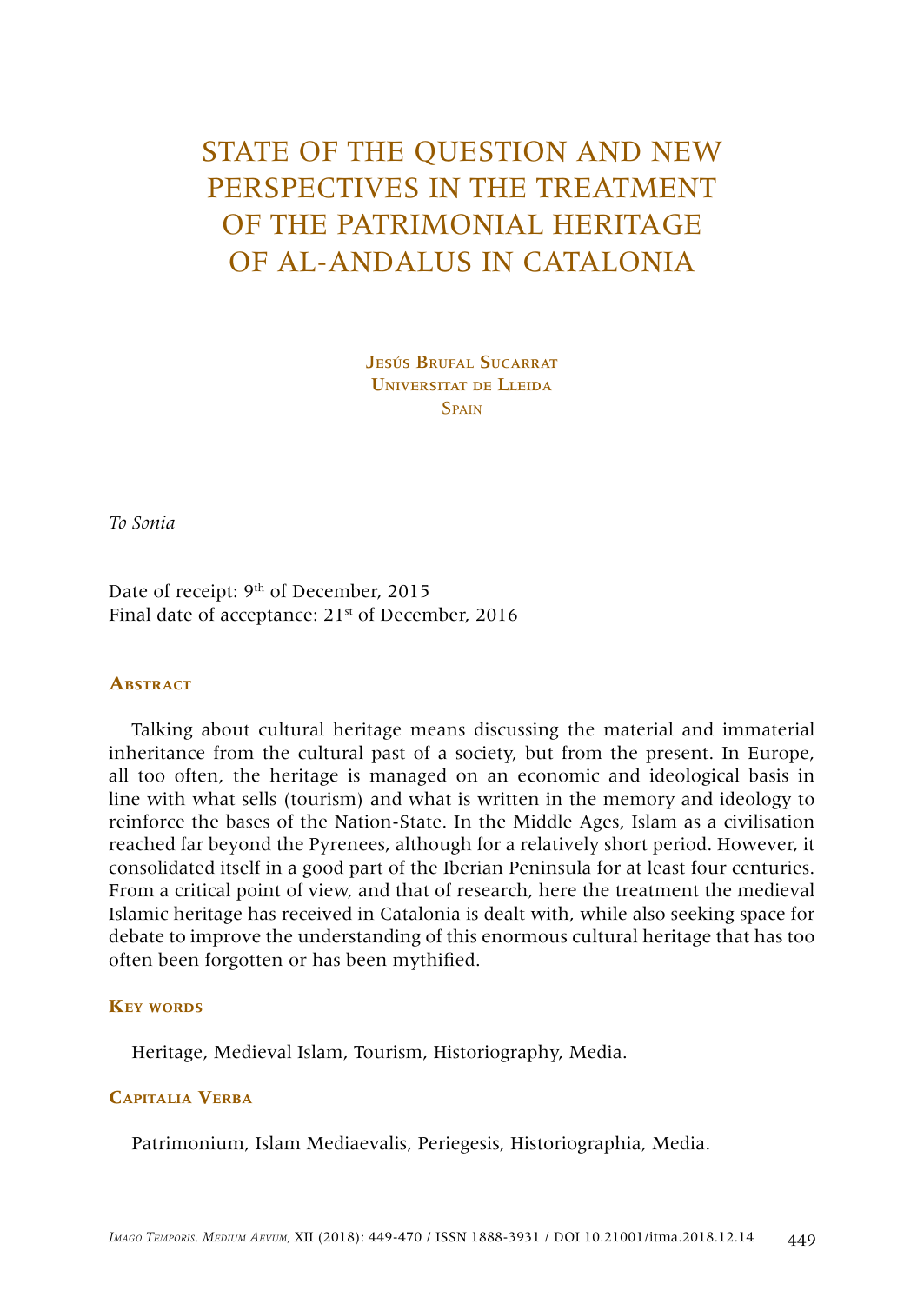# STATE OF THE QUESTION AND NEW PERSPECTIVES IN THE TREATMENT OF THE PATRIMONIAL HERITAGE OF AL-ANDALUS IN CATALONIA

JESÚS BRUEAL SUCARRAT Universitat de Lleida **SPAIN** 

*To Sonia*

Date of receipt: 9<sup>th</sup> of December, 2015 Final date of acceptance: 21<sup>st</sup> of December, 2016

#### **Abstract**

Talking about cultural heritage means discussing the material and immaterial inheritance from the cultural past of a society, but from the present. In Europe, all too often, the heritage is managed on an economic and ideological basis in line with what sells (tourism) and what is written in the memory and ideology to reinforce the bases of the Nation-State. In the Middle Ages, Islam as a civilisation reached far beyond the Pyrenees, although for a relatively short period. However, it consolidated itself in a good part of the Iberian Peninsula for at least four centuries. From a critical point of view, and that of research, here the treatment the medieval Islamic heritage has received in Catalonia is dealt with, while also seeking space for debate to improve the understanding of this enormous cultural heritage that has too often been forgotten or has been mythified.

#### **Key words**

Heritage, Medieval Islam, Tourism, Historiography, Media.

## **Capitalia Verba**

Patrimonium, Islam Mediaevalis, Periegesis, Historiographia, Media.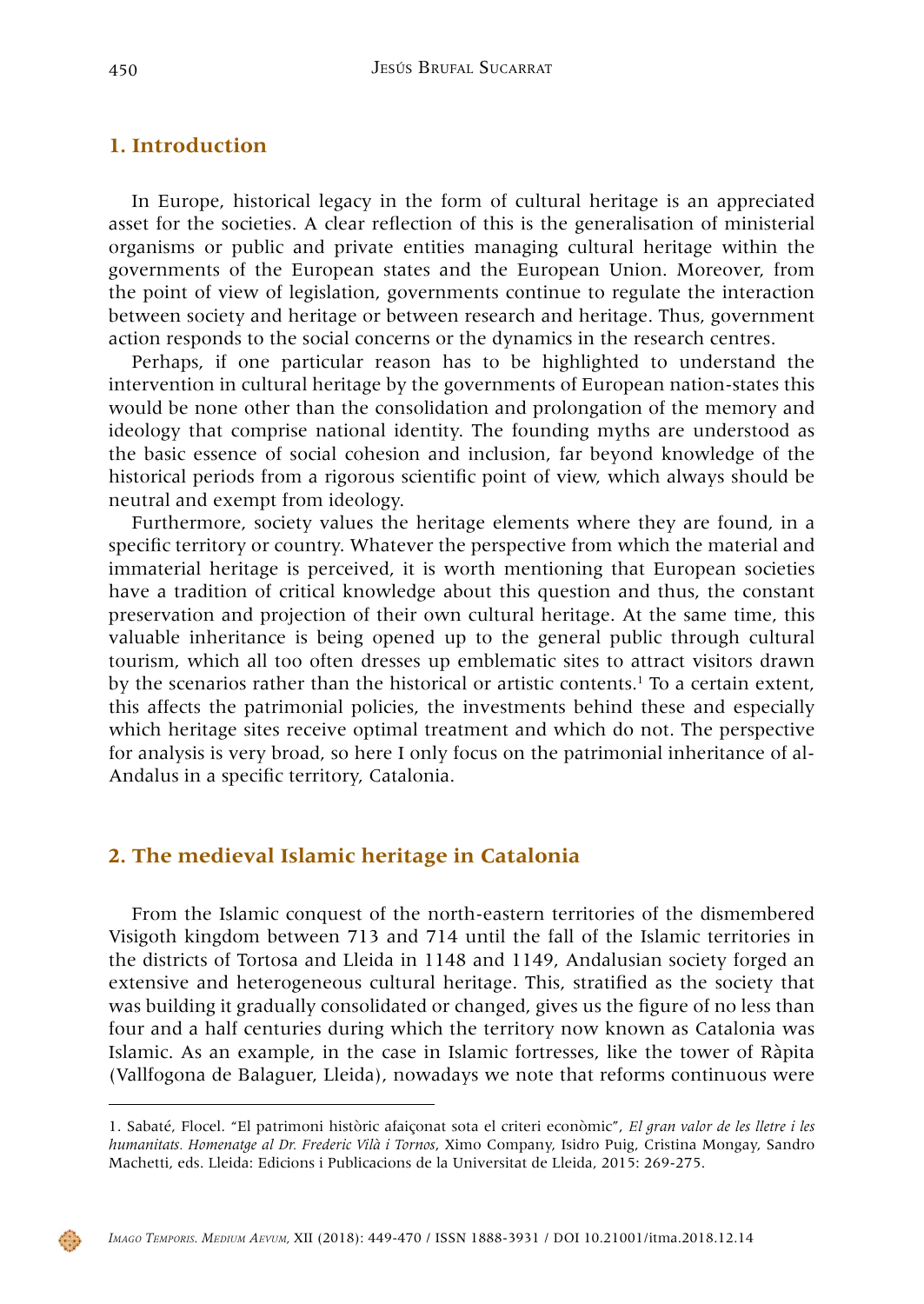# **1. Introduction**

In Europe, historical legacy in the form of cultural heritage is an appreciated asset for the societies. A clear reflection of this is the generalisation of ministerial organisms or public and private entities managing cultural heritage within the governments of the European states and the European Union. Moreover, from the point of view of legislation, governments continue to regulate the interaction between society and heritage or between research and heritage. Thus, government action responds to the social concerns or the dynamics in the research centres.

Perhaps, if one particular reason has to be highlighted to understand the intervention in cultural heritage by the governments of European nation-states this would be none other than the consolidation and prolongation of the memory and ideology that comprise national identity. The founding myths are understood as the basic essence of social cohesion and inclusion, far beyond knowledge of the historical periods from a rigorous scientific point of view, which always should be neutral and exempt from ideology.

Furthermore, society values the heritage elements where they are found, in a specific territory or country. Whatever the perspective from which the material and immaterial heritage is perceived, it is worth mentioning that European societies have a tradition of critical knowledge about this question and thus, the constant preservation and projection of their own cultural heritage. At the same time, this valuable inheritance is being opened up to the general public through cultural tourism, which all too often dresses up emblematic sites to attract visitors drawn by the scenarios rather than the historical or artistic contents.<sup>1</sup> To a certain extent, this affects the patrimonial policies, the investments behind these and especially which heritage sites receive optimal treatment and which do not. The perspective for analysis is very broad, so here I only focus on the patrimonial inheritance of al-Andalus in a specific territory, Catalonia.

### **2. The medieval Islamic heritage in Catalonia**

From the Islamic conquest of the north-eastern territories of the dismembered Visigoth kingdom between 713 and 714 until the fall of the Islamic territories in the districts of Tortosa and Lleida in 1148 and 1149, Andalusian society forged an extensive and heterogeneous cultural heritage. This, stratified as the society that was building it gradually consolidated or changed, gives us the figure of no less than four and a half centuries during which the territory now known as Catalonia was Islamic. As an example, in the case in Islamic fortresses, like the tower of Ràpita (Vallfogona de Balaguer, Lleida), nowadays we note that reforms continuous were



<sup>1.</sup> Sabaté, Flocel. "El patrimoni històric afaiçonat sota el criteri econòmic", *El gran valor de les lletre i les humanitats. Homenatge al Dr. Frederic Vilà i Tornos*, Ximo Company, Isidro Puig, Cristina Mongay, Sandro Machetti, eds. Lleida: Edicions i Publicacions de la Universitat de Lleida, 2015: 269-275.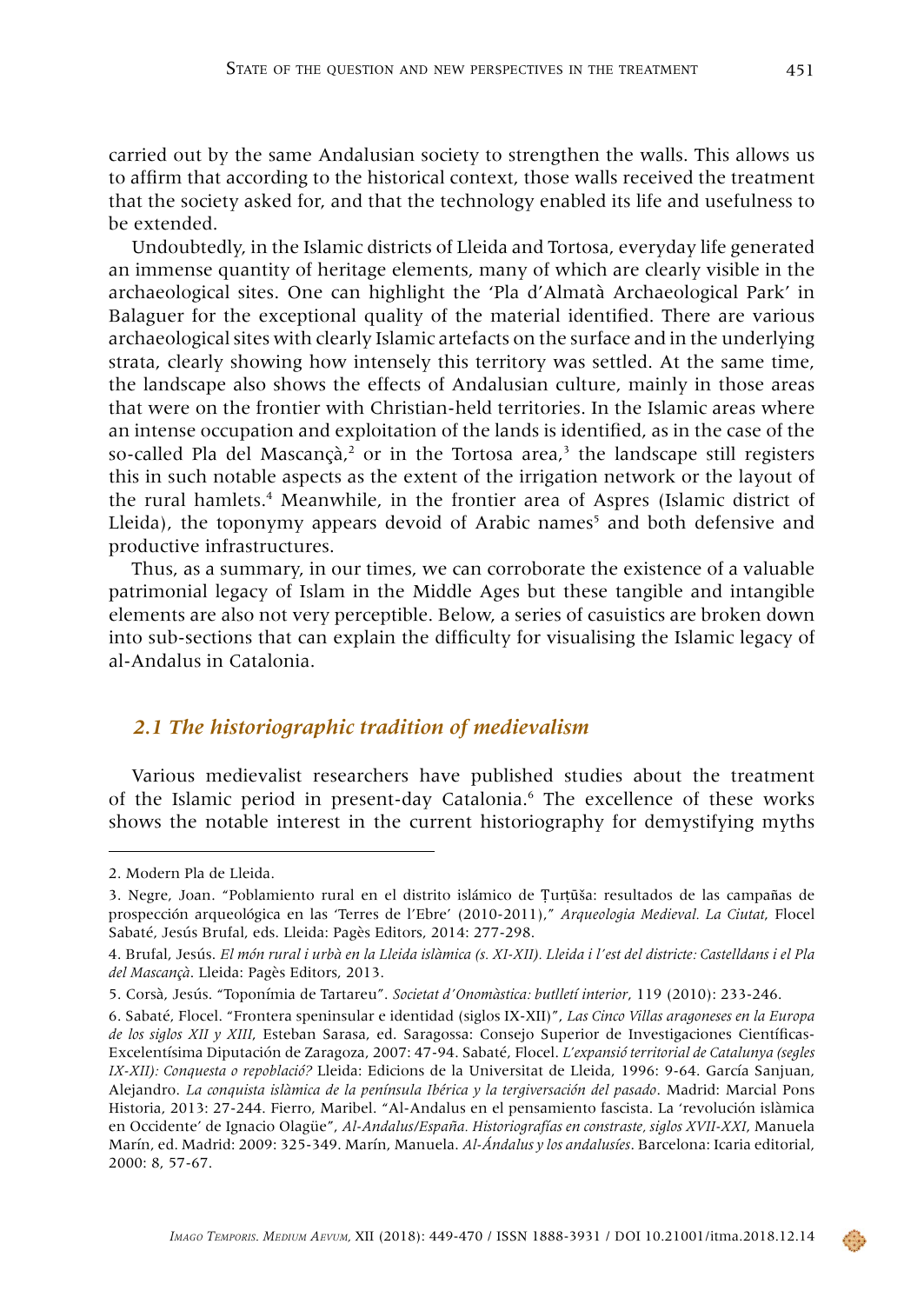carried out by the same Andalusian society to strengthen the walls. This allows us to affirm that according to the historical context, those walls received the treatment that the society asked for, and that the technology enabled its life and usefulness to be extended.

Undoubtedly, in the Islamic districts of Lleida and Tortosa, everyday life generated an immense quantity of heritage elements, many of which are clearly visible in the archaeological sites. One can highlight the 'Pla d'Almatà Archaeological Park' in Balaguer for the exceptional quality of the material identified. There are various archaeological sites with clearly Islamic artefacts on the surface and in the underlying strata, clearly showing how intensely this territory was settled. At the same time, the landscape also shows the effects of Andalusian culture, mainly in those areas that were on the frontier with Christian-held territories. In the Islamic areas where an intense occupation and exploitation of the lands is identified, as in the case of the so-called Pla del Mascançà,<sup>2</sup> or in the Tortosa area,<sup>3</sup> the landscape still registers this in such notable aspects as the extent of the irrigation network or the layout of the rural hamlets.4 Meanwhile, in the frontier area of Aspres (Islamic district of Lleida), the toponymy appears devoid of Arabic names<sup>5</sup> and both defensive and productive infrastructures.

Thus, as a summary, in our times, we can corroborate the existence of a valuable patrimonial legacy of Islam in the Middle Ages but these tangible and intangible elements are also not very perceptible. Below, a series of casuistics are broken down into sub-sections that can explain the difficulty for visualising the Islamic legacy of al-Andalus in Catalonia.

## *2.1 The historiographic tradition of medievalism*

Various medievalist researchers have published studies about the treatment of the Islamic period in present-day Catalonia.<sup>6</sup> The excellence of these works shows the notable interest in the current historiography for demystifying myths

<sup>2.</sup> Modern Pla de Lleida.

<sup>3.</sup> Negre, Joan. "Poblamiento rural en el distrito islámico de Ṭurṭūša: resultados de las campañas de prospección arqueológica en las 'Terres de l'Ebre' (2010-2011)," *Arqueologia Medieval. La Ciutat*, Flocel Sabaté, Jesús Brufal, eds. Lleida: Pagès Editors, 2014: 277-298.

<sup>4.</sup> Brufal, Jesús. *El món rural i urbà en la Lleida islàmica (s. XI-XII). Lleida i l'est del districte: Castelldans i el Pla del Mascançà*. Lleida: Pagès Editors, 2013.

<sup>5.</sup> Corsà, Jesús. "Toponímia de Tartareu". *Societat d'Onomàstica: butlletí interior*, 119 (2010): 233-246.

<sup>6.</sup> Sabaté, Flocel. "Frontera speninsular e identidad (siglos IX-XII)", *Las Cinco Villas aragoneses en la Europa de los siglos XII y XIII*, Esteban Sarasa, ed. Saragossa: Consejo Superior de Investigaciones Científicas-Excelentísima Diputación de Zaragoza, 2007: 47-94. Sabaté, Flocel. *L'expansió territorial de Catalunya (segles IX-XII): Conquesta o repoblació?* Lleida: Edicions de la Universitat de Lleida, 1996: 9-64. García Sanjuan, Alejandro. *La conquista islàmica de la península Ibérica y la tergiversación del pasado*. Madrid: Marcial Pons Historia, 2013: 27-244. Fierro, Maribel. "Al-Andalus en el pensamiento fascista. La 'revolución islàmica en Occidente' de Ignacio Olagüe", *Al-Andalus/España. Historiografías en constraste, siglos XVII-XXI*, Manuela Marín, ed. Madrid: 2009: 325-349. Marín, Manuela. *Al-Ándalus y los andalusíes*. Barcelona: Icaria editorial, 2000: 8, 57-67.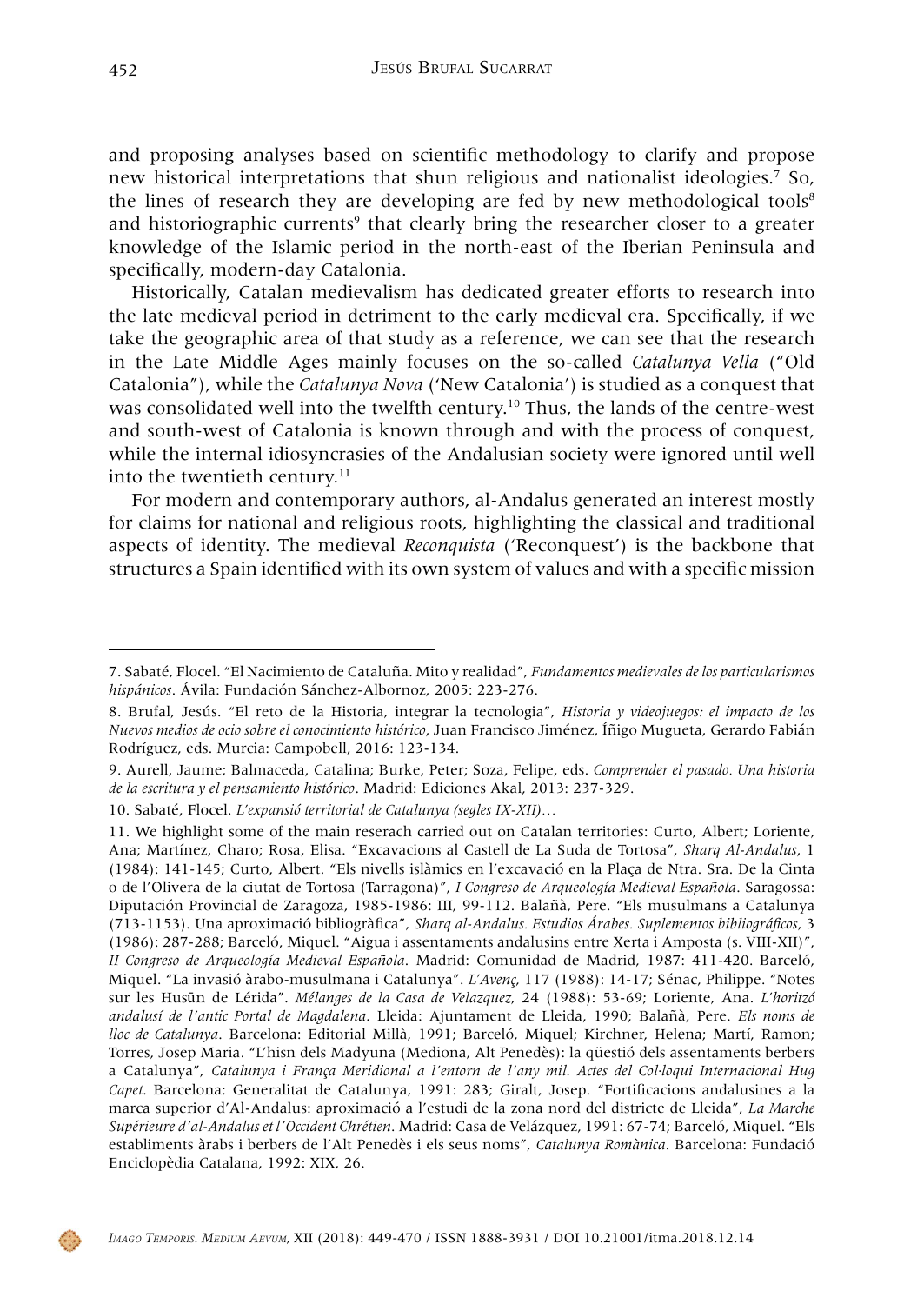and proposing analyses based on scientific methodology to clarify and propose new historical interpretations that shun religious and nationalist ideologies.7 So, the lines of research they are developing are fed by new methodological tools $\delta$ and historiographic currents<sup>9</sup> that clearly bring the researcher closer to a greater knowledge of the Islamic period in the north-east of the Iberian Peninsula and specifically, modern-day Catalonia.

Historically, Catalan medievalism has dedicated greater efforts to research into the late medieval period in detriment to the early medieval era. Specifically, if we take the geographic area of that study as a reference, we can see that the research in the Late Middle Ages mainly focuses on the so-called *Catalunya Vella* ("Old Catalonia"), while the *Catalunya Nova* ('New Catalonia') is studied as a conquest that was consolidated well into the twelfth century.10 Thus, the lands of the centre-west and south-west of Catalonia is known through and with the process of conquest, while the internal idiosyncrasies of the Andalusian society were ignored until well into the twentieth century.<sup>11</sup>

For modern and contemporary authors, al-Andalus generated an interest mostly for claims for national and religious roots, highlighting the classical and traditional aspects of identity. The medieval *Reconquista* ('Reconquest') is the backbone that structures a Spain identified with its own system of values and with a specific mission

<sup>7.</sup> Sabaté, Flocel. "El Nacimiento de Cataluña. Mito y realidad", *Fundamentos medievales de los particularismos hispánicos*. Ávila: Fundación Sánchez-Albornoz, 2005: 223-276.

<sup>8.</sup> Brufal, Jesús. "El reto de la Historia, integrar la tecnologia", *Historia y videojuegos: el impacto de los Nuevos medios de ocio sobre el conocimiento histórico*, Juan Francisco Jiménez, Íñigo Mugueta, Gerardo Fabián Rodríguez, eds. Murcia: Campobell, 2016: 123-134.

<sup>9.</sup> Aurell, Jaume; Balmaceda, Catalina; Burke, Peter; Soza, Felipe, eds. *Comprender el pasado. Una historia de la escritura y el pensamiento histórico*. Madrid: Ediciones Akal, 2013: 237-329.

<sup>10.</sup> Sabaté, Flocel. *L'expansió territorial de Catalunya (segles IX-XII)…*

<sup>11.</sup> We highlight some of the main reserach carried out on Catalan territories: Curto, Albert; Loriente, Ana; Martínez, Charo; Rosa, Elisa. "Excavacions al Castell de La Suda de Tortosa", *Sharq Al-Andalus*, 1 (1984): 141-145; Curto, Albert. "Els nivells islàmics en l'excavació en la Plaça de Ntra. Sra. De la Cinta o de l'Olivera de la ciutat de Tortosa (Tarragona)", *I Congreso de Arqueología Medieval Española*. Saragossa: Diputación Provincial de Zaragoza, 1985-1986: III, 99-112. Balañà, Pere. "Els musulmans a Catalunya (713-1153). Una aproximació bibliogràfica", *Sharq al-Andalus. Estudios Árabes. Suplementos bibliográficos*, 3 (1986): 287-288; Barceló, Miquel. "Aigua i assentaments andalusins entre Xerta i Amposta (s. VIII-XII)", *II Congreso de Arqueología Medieval Española*. Madrid: Comunidad de Madrid, 1987: 411-420. Barceló, Miquel. "La invasió àrabo-musulmana i Catalunya". *L'Avenç*, 117 (1988): 14-17; Sénac, Philippe. "Notes sur les Husūn de Lérida". *Mélanges de la Casa de Velazquez*, 24 (1988): 53-69; Loriente, Ana. *L'horitzó andalusí de l'antic Portal de Magdalena*. Lleida: Ajuntament de Lleida, 1990; Balañà, Pere. *Els noms de lloc de Catalunya*. Barcelona: Editorial Millà, 1991; Barceló, Miquel; Kirchner, Helena; Martí, Ramon; Torres, Josep Maria. "L'hisn dels Madyuna (Mediona, Alt Penedès): la qüestió dels assentaments berbers a Catalunya", *Catalunya i França Meridional a l'entorn de l'any mil. Actes del Col·loqui Internacional Hug Capet*. Barcelona: Generalitat de Catalunya, 1991: 283; Giralt, Josep. "Fortificacions andalusines a la marca superior d'Al-Andalus: aproximació a l'estudi de la zona nord del districte de Lleida", *La Marche Supérieure d'al-Andalus et l'Occident Chrétien*. Madrid: Casa de Velázquez, 1991: 67-74; Barceló, Miquel. "Els establiments àrabs i berbers de l'Alt Penedès i els seus noms", *Catalunya Romànica*. Barcelona: Fundació Enciclopèdia Catalana, 1992: XIX, 26.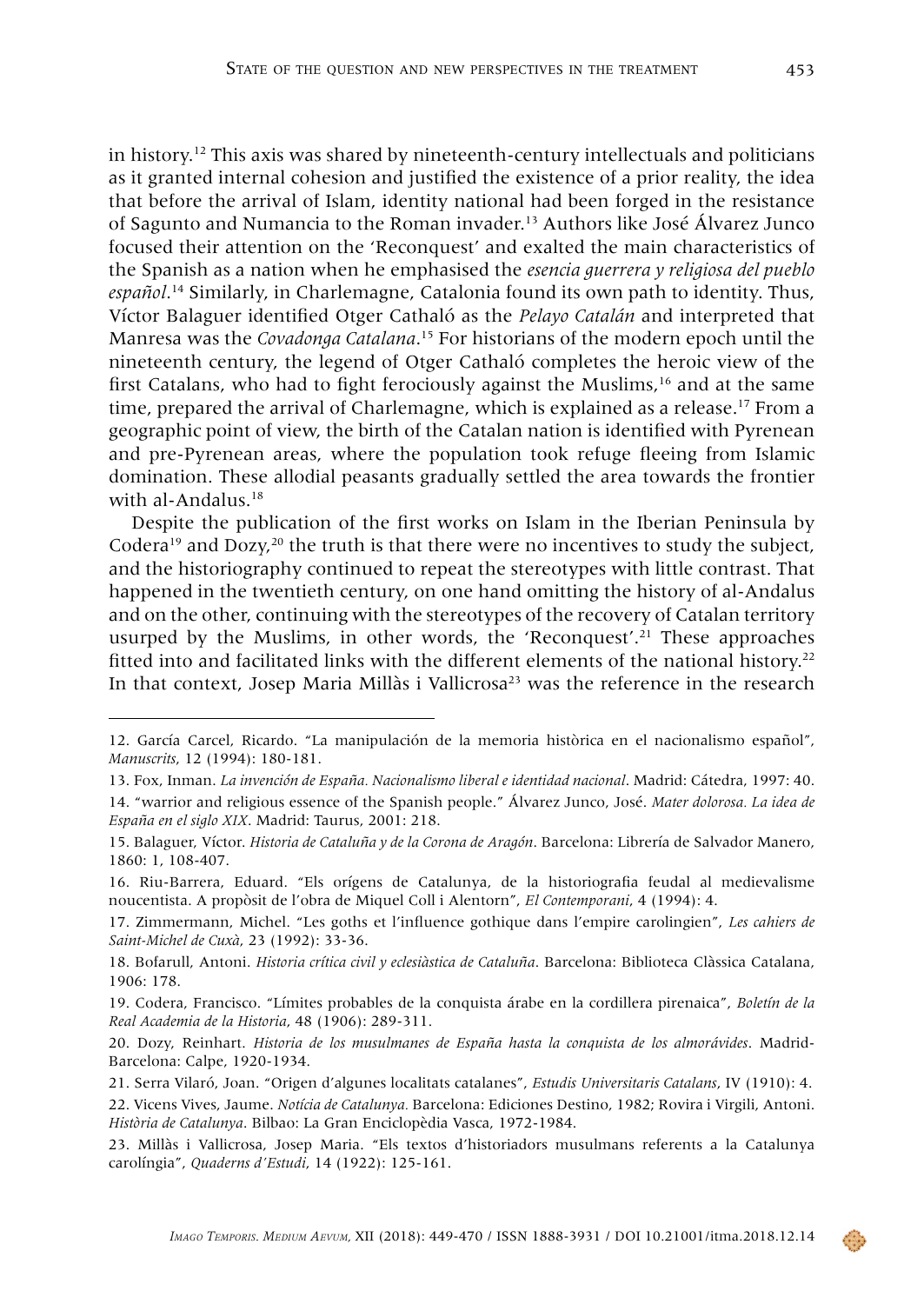in history.<sup>12</sup> This axis was shared by nineteenth-century intellectuals and politicians as it granted internal cohesion and justified the existence of a prior reality, the idea that before the arrival of Islam, identity national had been forged in the resistance of Sagunto and Numancia to the Roman invader.13 Authors like José Álvarez Junco focused their attention on the 'Reconquest' and exalted the main characteristics of the Spanish as a nation when he emphasised the *esencia guerrera y religiosa del pueblo español*. 14 Similarly, in Charlemagne, Catalonia found its own path to identity. Thus, Víctor Balaguer identified Otger Cathaló as the *Pelayo Catalán* and interpreted that Manresa was the *Covadonga Catalana*. 15 For historians of the modern epoch until the nineteenth century, the legend of Otger Cathaló completes the heroic view of the first Catalans, who had to fight ferociously against the Muslims,<sup>16</sup> and at the same time, prepared the arrival of Charlemagne, which is explained as a release.<sup>17</sup> From a geographic point of view, the birth of the Catalan nation is identified with Pyrenean and pre-Pyrenean areas, where the population took refuge fleeing from Islamic domination. These allodial peasants gradually settled the area towards the frontier with al-Andalus.<sup>18</sup>

Despite the publication of the first works on Islam in the Iberian Peninsula by Codera<sup>19</sup> and Dozy,<sup>20</sup> the truth is that there were no incentives to study the subject, and the historiography continued to repeat the stereotypes with little contrast. That happened in the twentieth century, on one hand omitting the history of al-Andalus and on the other, continuing with the stereotypes of the recovery of Catalan territory usurped by the Muslims, in other words, the 'Reconquest'.21 These approaches fitted into and facilitated links with the different elements of the national history.22 In that context, Josep Maria Millàs i Vallicrosa<sup>23</sup> was the reference in the research

<sup>12.</sup> García Carcel, Ricardo. "La manipulación de la memoria històrica en el nacionalismo español", *Manuscrits*, 12 (1994): 180-181.

<sup>13.</sup> Fox, Inman. *La invención de España. Nacionalismo liberal e identidad nacional*. Madrid: Cátedra, 1997: 40.

<sup>14. &</sup>quot;warrior and religious essence of the Spanish people." Álvarez Junco, José. *Mater dolorosa. La idea de España en el siglo XIX*. Madrid: Taurus, 2001: 218.

<sup>15.</sup> Balaguer, Víctor. *Historia de Cataluña y de la Corona de Aragón*. Barcelona: Librería de Salvador Manero, 1860: 1, 108-407.

<sup>16.</sup> Riu-Barrera, Eduard. "Els orígens de Catalunya, de la historiografia feudal al medievalisme noucentista. A propòsit de l'obra de Miquel Coll i Alentorn", *El Contemporani*, 4 (1994): 4.

<sup>17.</sup> Zimmermann, Michel. "Les goths et l'influence gothique dans l'empire carolingien", *Les cahiers de Saint-Michel de Cuxà*, 23 (1992): 33-36.

<sup>18.</sup> Bofarull, Antoni. *Historia crítica civil y eclesiàstica de Cataluña*. Barcelona: Biblioteca Clàssica Catalana, 1906: 178.

<sup>19.</sup> Codera, Francisco. "Límites probables de la conquista árabe en la cordillera pirenaica", *Boletín de la Real Academia de la Historia*, 48 (1906): 289-311.

<sup>20.</sup> Dozy, Reinhart. *Historia de los musulmanes de España hasta la conquista de los almorávides*. Madrid-Barcelona: Calpe, 1920-1934.

<sup>21.</sup> Serra Vilaró, Joan. "Origen d'algunes localitats catalanes", *Estudis Universitaris Catalans*, IV (1910): 4.

<sup>22.</sup> Vicens Vives, Jaume. *Notícia de Catalunya.* Barcelona: Ediciones Destino, 1982; Rovira i Virgili, Antoni. *Història de Catalunya*. Bilbao: La Gran Enciclopèdia Vasca, 1972-1984.

<sup>23.</sup> Millàs i Vallicrosa, Josep Maria. "Els textos d'historiadors musulmans referents a la Catalunya carolíngia", *Quaderns d'Estudi*, 14 (1922): 125-161.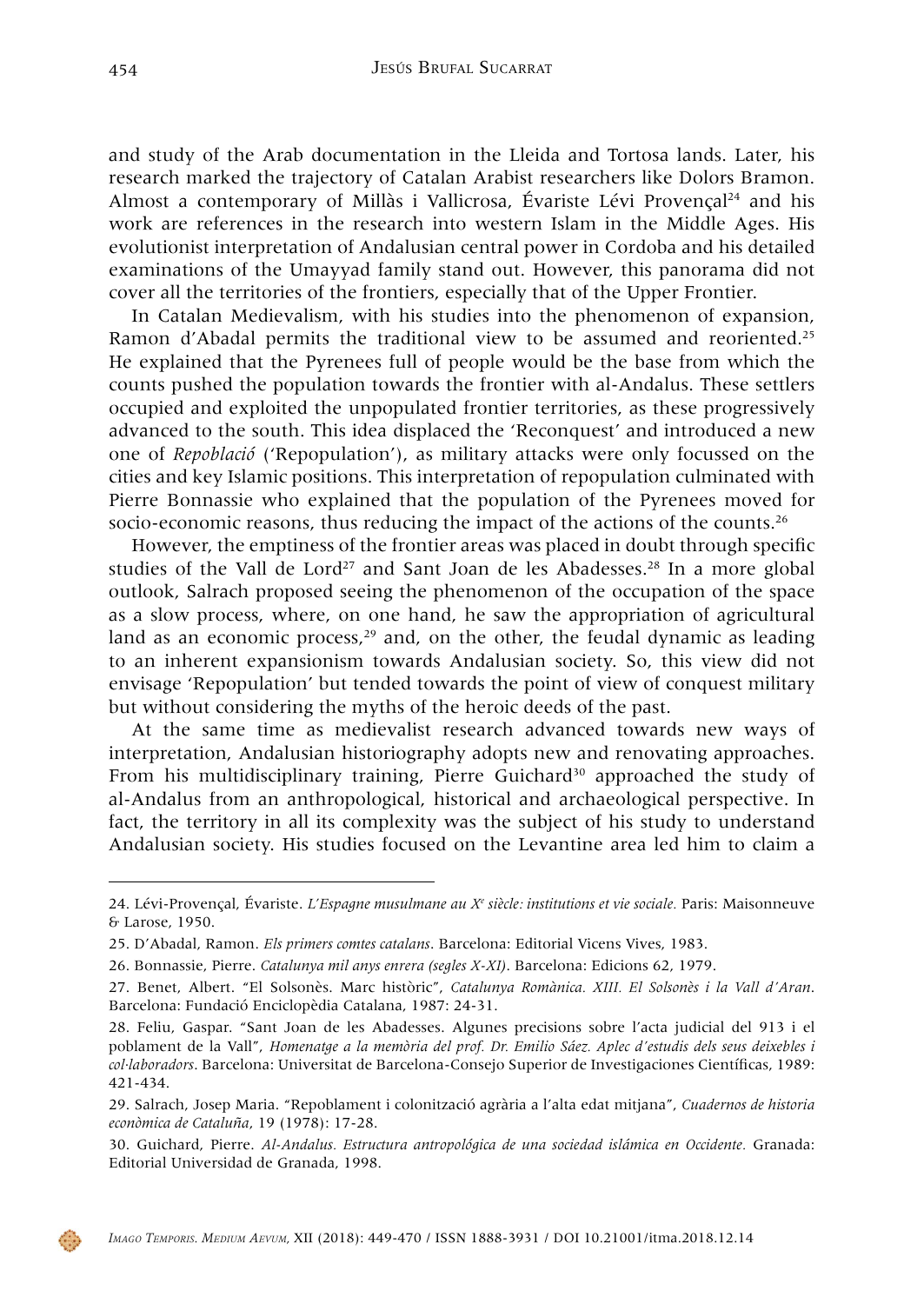and study of the Arab documentation in the Lleida and Tortosa lands. Later, his research marked the trajectory of Catalan Arabist researchers like Dolors Bramon. Almost a contemporary of Millàs i Vallicrosa, Évariste Lévi Provençal<sup>24</sup> and his work are references in the research into western Islam in the Middle Ages. His evolutionist interpretation of Andalusian central power in Cordoba and his detailed examinations of the Umayyad family stand out. However, this panorama did not cover all the territories of the frontiers, especially that of the Upper Frontier.

In Catalan Medievalism, with his studies into the phenomenon of expansion, Ramon d'Abadal permits the traditional view to be assumed and reoriented.<sup>25</sup> He explained that the Pyrenees full of people would be the base from which the counts pushed the population towards the frontier with al-Andalus. These settlers occupied and exploited the unpopulated frontier territories, as these progressively advanced to the south. This idea displaced the 'Reconquest' and introduced a new one of *Repoblació* ('Repopulation'), as military attacks were only focussed on the cities and key Islamic positions. This interpretation of repopulation culminated with Pierre Bonnassie who explained that the population of the Pyrenees moved for socio-economic reasons, thus reducing the impact of the actions of the counts.26

However, the emptiness of the frontier areas was placed in doubt through specific studies of the Vall de Lord<sup>27</sup> and Sant Joan de les Abadesses.<sup>28</sup> In a more global outlook, Salrach proposed seeing the phenomenon of the occupation of the space as a slow process, where, on one hand, he saw the appropriation of agricultural land as an economic process, $29$  and, on the other, the feudal dynamic as leading to an inherent expansionism towards Andalusian society. So, this view did not envisage 'Repopulation' but tended towards the point of view of conquest military but without considering the myths of the heroic deeds of the past.

At the same time as medievalist research advanced towards new ways of interpretation, Andalusian historiography adopts new and renovating approaches. From his multidisciplinary training, Pierre Guichard<sup>30</sup> approached the study of al-Andalus from an anthropological, historical and archaeological perspective. In fact, the territory in all its complexity was the subject of his study to understand Andalusian society. His studies focused on the Levantine area led him to claim a



<sup>24.</sup> Lévi-Provençal, Évariste. *L'Espagne musulmane au Xe siècle: institutions et vie sociale.* Paris: Maisonneuve & Larose, 1950.

<sup>25.</sup> D'Abadal, Ramon. *Els primers comtes catalans*. Barcelona: Editorial Vicens Vives, 1983.

<sup>26.</sup> Bonnassie, Pierre. *Catalunya mil anys enrera (segles X-XI)*. Barcelona: Edicions 62, 1979.

<sup>27.</sup> Benet, Albert. "El Solsonès. Marc històric", *Catalunya Romànica. XIII. El Solsonès i la Vall d'Aran*. Barcelona: Fundació Enciclopèdia Catalana, 1987: 24-31.

<sup>28.</sup> Feliu, Gaspar. "Sant Joan de les Abadesses. Algunes precisions sobre l'acta judicial del 913 i el poblament de la Vall", *Homenatge a la memòria del prof. Dr. Emilio Sáez. Aplec d'estudis dels seus deixebles i col·laboradors*. Barcelona: Universitat de Barcelona-Consejo Superior de Investigaciones Científicas, 1989: 421-434.

<sup>29.</sup> Salrach, Josep Maria. "Repoblament i colonització agrària a l'alta edat mitjana", *Cuadernos de historia econòmica de Cataluña*, 19 (1978): 17-28.

<sup>30.</sup> Guichard, Pierre. *Al-Andalus. Estructura antropológica de una sociedad islámica en Occidente.* Granada: Editorial Universidad de Granada, 1998.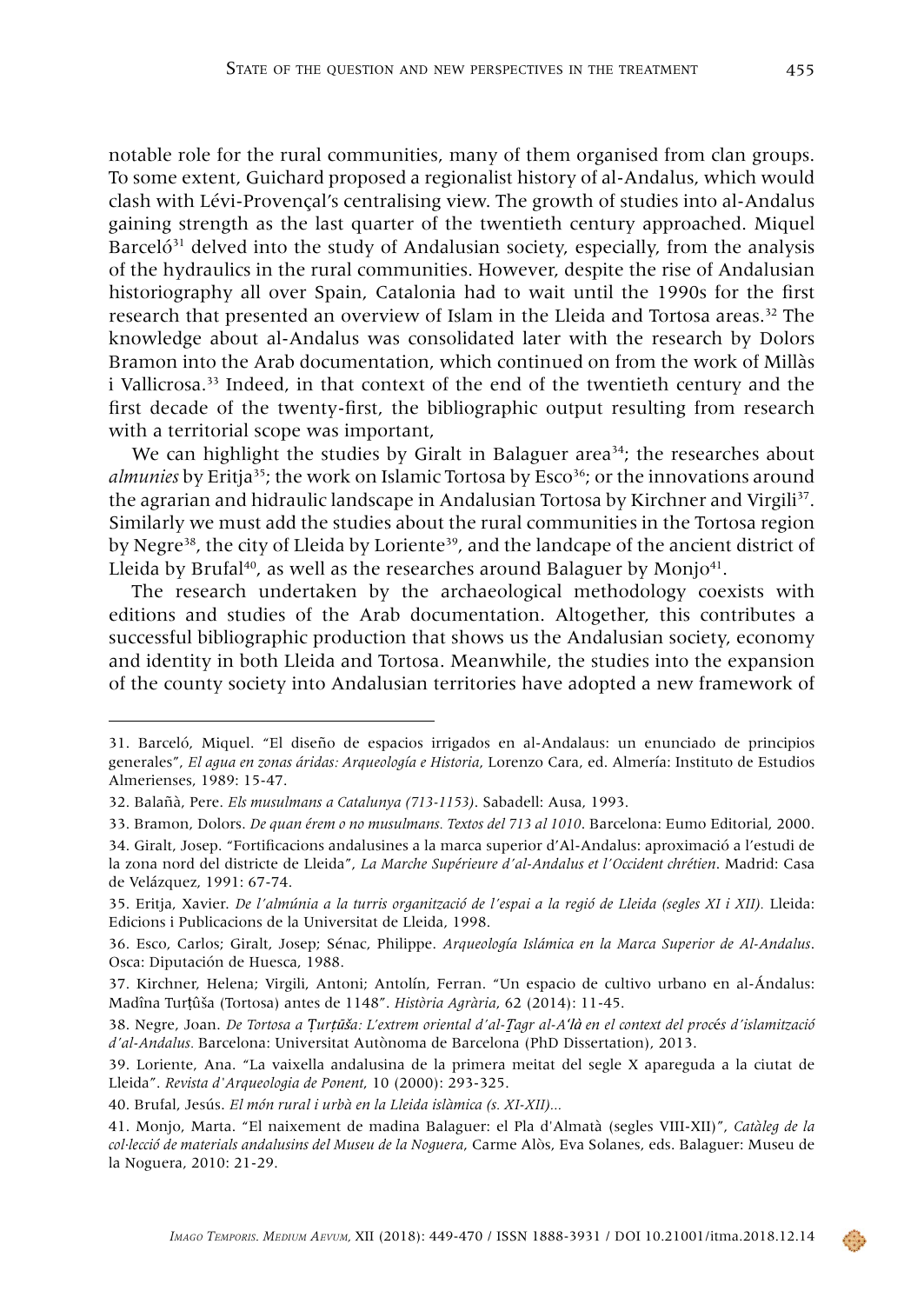notable role for the rural communities, many of them organised from clan groups. To some extent, Guichard proposed a regionalist history of al-Andalus, which would clash with Lévi-Provençal's centralising view. The growth of studies into al-Andalus gaining strength as the last quarter of the twentieth century approached. Miquel Barcel $6^{31}$  delved into the study of Andalusian society, especially, from the analysis of the hydraulics in the rural communities. However, despite the rise of Andalusian historiography all over Spain, Catalonia had to wait until the 1990s for the first research that presented an overview of Islam in the Lleida and Tortosa areas.32 The knowledge about al-Andalus was consolidated later with the research by Dolors Bramon into the Arab documentation, which continued on from the work of Millàs i Vallicrosa.33 Indeed, in that context of the end of the twentieth century and the first decade of the twenty-first, the bibliographic output resulting from research with a territorial scope was important,

We can highlight the studies by Giralt in Balaguer area $34$ ; the researches about *almunies* by Eritja<sup>35</sup>; the work on Islamic Tortosa by Esco<sup>36</sup>; or the innovations around the agrarian and hidraulic landscape in Andalusian Tortosa by Kirchner and Virgili<sup>37</sup>. Similarly we must add the studies about the rural communities in the Tortosa region by Negre<sup>38</sup>, the city of Lleida by Loriente<sup>39</sup>, and the landcape of the ancient district of Lleida by Brufal $40$ , as well as the researches around Balaguer by Monjo $41$ .

The research undertaken by the archaeological methodology coexists with editions and studies of the Arab documentation. Altogether, this contributes a successful bibliographic production that shows us the Andalusian society, economy and identity in both Lleida and Tortosa. Meanwhile, the studies into the expansion of the county society into Andalusian territories have adopted a new framework of

 $\langle \cdot \rangle$ 

<sup>31.</sup> Barceló, Miquel. "El diseño de espacios irrigados en al-Andalaus: un enunciado de principios generales", *El agua en zonas áridas: Arqueología e Historia*, Lorenzo Cara, ed. Almería: Instituto de Estudios Almerienses, 1989: 15-47.

<sup>32.</sup> Balañà, Pere. *Els musulmans a Catalunya (713-1153)*. Sabadell: Ausa, 1993.

<sup>33.</sup> Bramon, Dolors. *De quan érem o no musulmans. Textos del 713 al 1010*. Barcelona: Eumo Editorial, 2000. 34. Giralt, Josep. "Fortificacions andalusines a la marca superior d'Al-Andalus: aproximació a l'estudi de la zona nord del districte de Lleida", *La Marche Supérieure d'al-Andalus et l'Occident chrétien*. Madrid: Casa de Velázquez, 1991: 67-74.

<sup>35.</sup> Eritja, Xavier. *De l'almúnia a la turris organització de l'espai a la regió de Lleida (segles XI i XII).* Lleida: Edicions i Publicacions de la Universitat de Lleida, 1998.

<sup>36.</sup> Esco, Carlos; Giralt, Josep; Sénac, Philippe. *Arqueología Islámica en la Marca Superior de Al-Andalus*. Osca: Diputación de Huesca, 1988.

<sup>37.</sup> Kirchner, Helena; Virgili, Antoni; Antolín, Ferran. "Un espacio de cultivo urbano en al-Ándalus: Madîna Turṭûša (Tortosa) antes de 1148". *Història Agrària*, 62 (2014): 11-45.

<sup>38.</sup> Negre, Joan. *De Tortosa a* Ṭ*urṭūša: L'extrem oriental d'al-Ṯagr al-A'là en el context del proc*é*s d'islamització d'al-Andalus.* Barcelona: Universitat Autònoma de Barcelona (PhD Dissertation), 2013.

<sup>39.</sup> Loriente, Ana. "La vaixella andalusina de la primera meitat del segle X apareguda a la ciutat de Lleida". *Revista d'Arqueologia de Ponent*, 10 (2000): 293-325.

<sup>40.</sup> Brufal, Jesús. *El món rural i urbà en la Lleida islàmica (s. XI-XII)...*

<sup>41.</sup> Monjo, Marta. "El naixement de madina Balaguer: el Pla d'Almatà (segles VIII-XII)", *Catàleg de la col·lecció de materials andalusins del Museu de la Noguera*, Carme Alòs, Eva Solanes, eds. Balaguer: Museu de la Noguera, 2010: 21-29.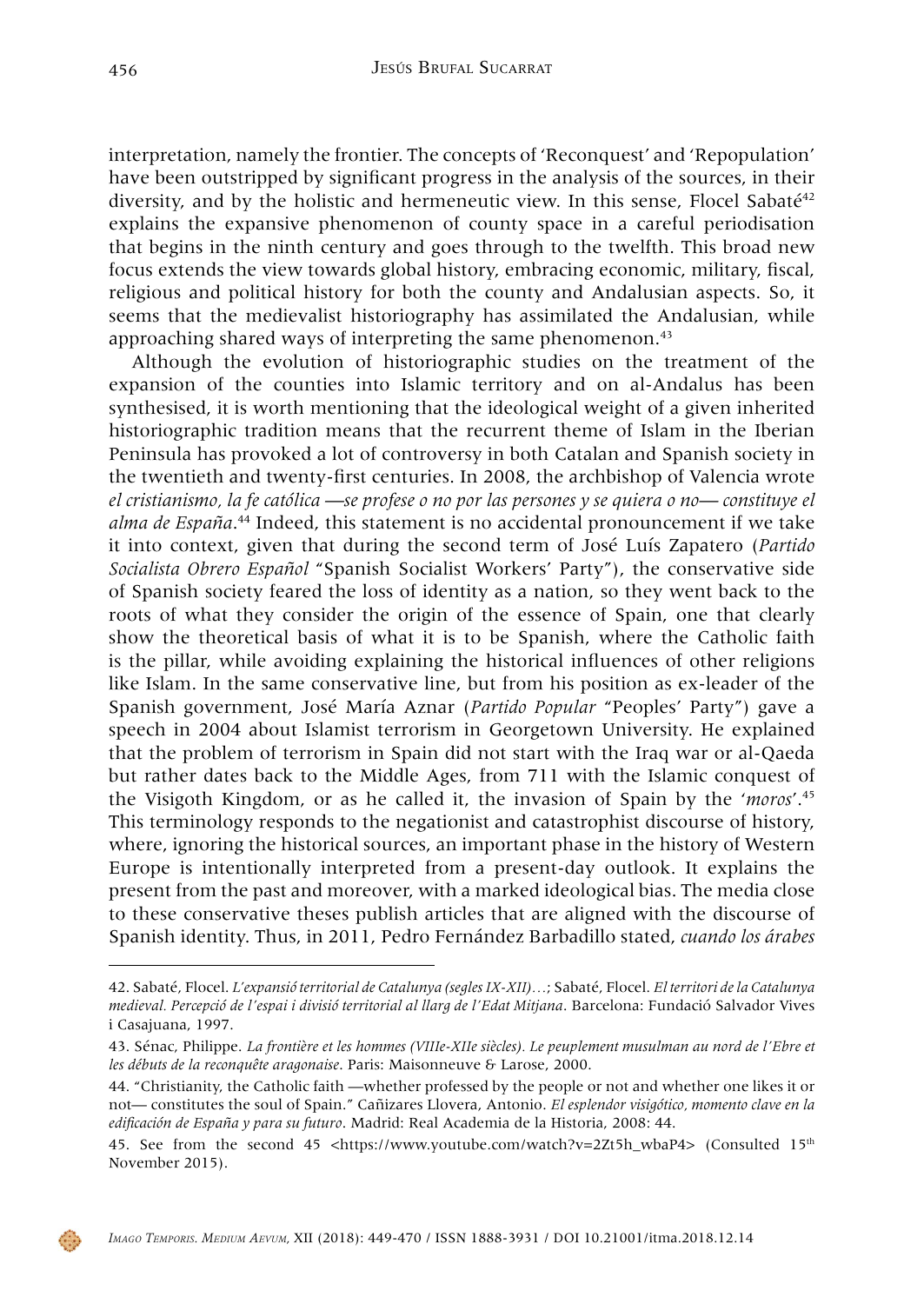interpretation, namely the frontier. The concepts of 'Reconquest' and 'Repopulation' have been outstripped by significant progress in the analysis of the sources, in their diversity, and by the holistic and hermeneutic view. In this sense, Flocel Sabaté<sup>42</sup> explains the expansive phenomenon of county space in a careful periodisation that begins in the ninth century and goes through to the twelfth. This broad new focus extends the view towards global history, embracing economic, military, fiscal, religious and political history for both the county and Andalusian aspects. So, it seems that the medievalist historiography has assimilated the Andalusian, while approaching shared ways of interpreting the same phenomenon.<sup>43</sup>

Although the evolution of historiographic studies on the treatment of the expansion of the counties into Islamic territory and on al-Andalus has been synthesised, it is worth mentioning that the ideological weight of a given inherited historiographic tradition means that the recurrent theme of Islam in the Iberian Peninsula has provoked a lot of controversy in both Catalan and Spanish society in the twentieth and twenty-first centuries. In 2008, the archbishop of Valencia wrote *el cristianismo, la fe católica —se profese o no por las persones y se quiera o no— constituye el alma de España*. 44 Indeed, this statement is no accidental pronouncement if we take it into context, given that during the second term of José Luís Zapatero (*Partido Socialista Obrero Español* "Spanish Socialist Workers' Party"), the conservative side of Spanish society feared the loss of identity as a nation, so they went back to the roots of what they consider the origin of the essence of Spain, one that clearly show the theoretical basis of what it is to be Spanish, where the Catholic faith is the pillar, while avoiding explaining the historical influences of other religions like Islam. In the same conservative line, but from his position as ex-leader of the Spanish government, José María Aznar (*Partido Popular* "Peoples' Party") gave a speech in 2004 about Islamist terrorism in Georgetown University. He explained that the problem of terrorism in Spain did not start with the Iraq war or al-Qaeda but rather dates back to the Middle Ages, from 711 with the Islamic conquest of the Visigoth Kingdom, or as he called it, the invasion of Spain by the '*moros*'.45 This terminology responds to the negationist and catastrophist discourse of history, where, ignoring the historical sources, an important phase in the history of Western Europe is intentionally interpreted from a present-day outlook. It explains the present from the past and moreover, with a marked ideological bias. The media close to these conservative theses publish articles that are aligned with the discourse of Spanish identity. Thus, in 2011, Pedro Fernández Barbadillo stated, *cuando los árabes* 



<sup>42.</sup> Sabaté, Flocel. *L'expansió territorial de Catalunya (segles IX-XII)…*; Sabaté, Flocel. *El territori de la Catalunya medieval. Percepció de l'espai i divisió territorial al llarg de l'Edat Mitjana*. Barcelona: Fundació Salvador Vives i Casajuana, 1997.

<sup>43.</sup> Sénac, Philippe. *La frontière et les hommes (VIIIe-XIIe siècles). Le peuplement musulman au nord de l'Ebre et les débuts de la reconquête aragonaise*. Paris: Maisonneuve & Larose, 2000.

<sup>44. &</sup>quot;Christianity, the Catholic faith —whether professed by the people or not and whether one likes it or not— constitutes the soul of Spain." Cañizares Llovera, Antonio. *El esplendor visigótico, momento clave en la edificación de España y para su futuro*. Madrid: Real Academia de la Historia, 2008: 44.

<sup>45.</sup> See from the second 45 [<https://www.youtube.com/watch?v=2Zt5h\\_wbaP4>](https://www.youtube.com/watch?v=2Zt5h_wbaP4) (Consulted 15<sup>th</sup> November 2015).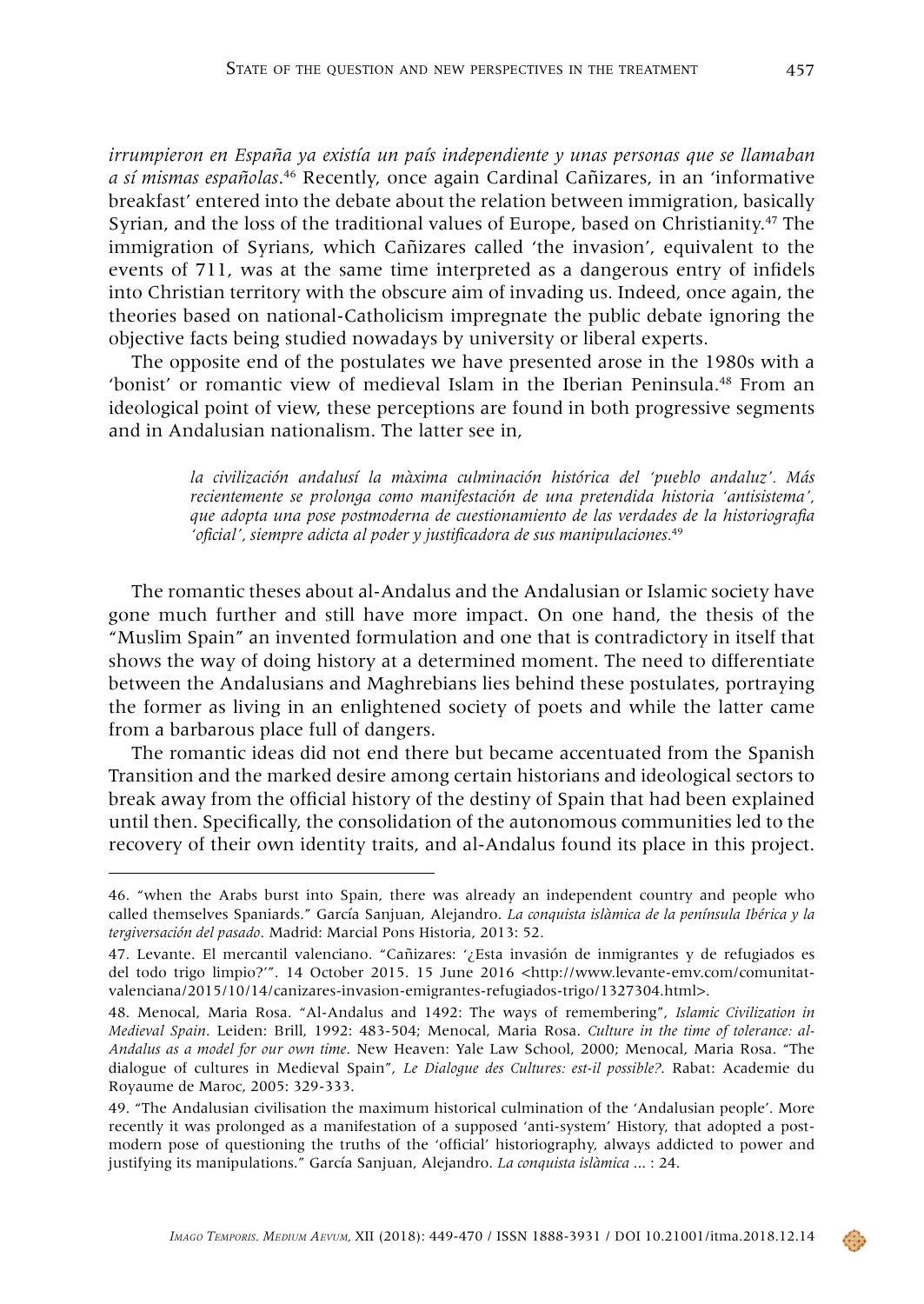*irrumpieron en España ya existía un país independiente y unas personas que se llamaban a sí mismas españolas*. 46 Recently, once again Cardinal Cañizares, in an 'informative breakfast' entered into the debate about the relation between immigration, basically Syrian, and the loss of the traditional values of Europe, based on Christianity.47 The immigration of Syrians, which Cañizares called 'the invasion', equivalent to the events of 711, was at the same time interpreted as a dangerous entry of infidels into Christian territory with the obscure aim of invading us. Indeed, once again, the theories based on national-Catholicism impregnate the public debate ignoring the objective facts being studied nowadays by university or liberal experts.

The opposite end of the postulates we have presented arose in the 1980s with a 'bonist' or romantic view of medieval Islam in the Iberian Peninsula.48 From an ideological point of view, these perceptions are found in both progressive segments and in Andalusian nationalism. The latter see in,

> *la civilización andalusí la màxima culminación histórica del 'pueblo andaluz'. Más recientemente se prolonga como manifestación de una pretendida historia 'antisistema', que adopta una pose postmoderna de cuestionamiento de las verdades de la historiografia 'oficial', siempre adicta al poder y justificadora de sus manipulaciones.*<sup>49</sup>

The romantic theses about al-Andalus and the Andalusian or Islamic society have gone much further and still have more impact. On one hand, the thesis of the "Muslim Spain" an invented formulation and one that is contradictory in itself that shows the way of doing history at a determined moment. The need to differentiate between the Andalusians and Maghrebians lies behind these postulates, portraying the former as living in an enlightened society of poets and while the latter came from a barbarous place full of dangers.

The romantic ideas did not end there but became accentuated from the Spanish Transition and the marked desire among certain historians and ideological sectors to break away from the official history of the destiny of Spain that had been explained until then. Specifically, the consolidation of the autonomous communities led to the recovery of their own identity traits, and al-Andalus found its place in this project.

<sup>46. &</sup>quot;when the Arabs burst into Spain, there was already an independent country and people who called themselves Spaniards." García Sanjuan, Alejandro. *La conquista islàmica de la península Ibérica y la tergiversación del pasado*. Madrid: Marcial Pons Historia, 2013: 52.

<sup>47.</sup> Levante. El mercantil valenciano. "Cañizares: '¿Esta invasión de inmigrantes y de refugiados es del todo trigo limpio?'". 14 October 2015. 15 June 2016 <[http://www.levante-emv.com/comunitat](http://www.levante-emv.com/comunitat-valenciana/2015/10/14/canizares-invasion-emigrantes-refugiados-trigo/1327304.html)[valenciana/2015/10/14/canizares-invasion-emigrantes-refugiados-trigo/1327304.html](http://www.levante-emv.com/comunitat-valenciana/2015/10/14/canizares-invasion-emigrantes-refugiados-trigo/1327304.html)>.

<sup>48.</sup> Menocal, Maria Rosa. "Al-Andalus and 1492: The ways of remembering", *Islamic Civilization in Medieval Spain*. Leiden: Brill, 1992: 483-504; Menocal, Maria Rosa. *Culture in the time of tolerance: al-Andalus as a model for our own time*. New Heaven: Yale Law School, 2000; Menocal, Maria Rosa. "The dialogue of cultures in Medieval Spain", *Le Dialogue des Cultures: est-il possible?*. Rabat: Academie du Royaume de Maroc, 2005: 329-333.

<sup>49. &</sup>quot;The Andalusian civilisation the maximum historical culmination of the 'Andalusian people'. More recently it was prolonged as a manifestation of a supposed 'anti-system' History, that adopted a postmodern pose of questioning the truths of the 'official' historiography, always addicted to power and justifying its manipulations." García Sanjuan, Alejandro. *La conquista islàmica* ... : 24.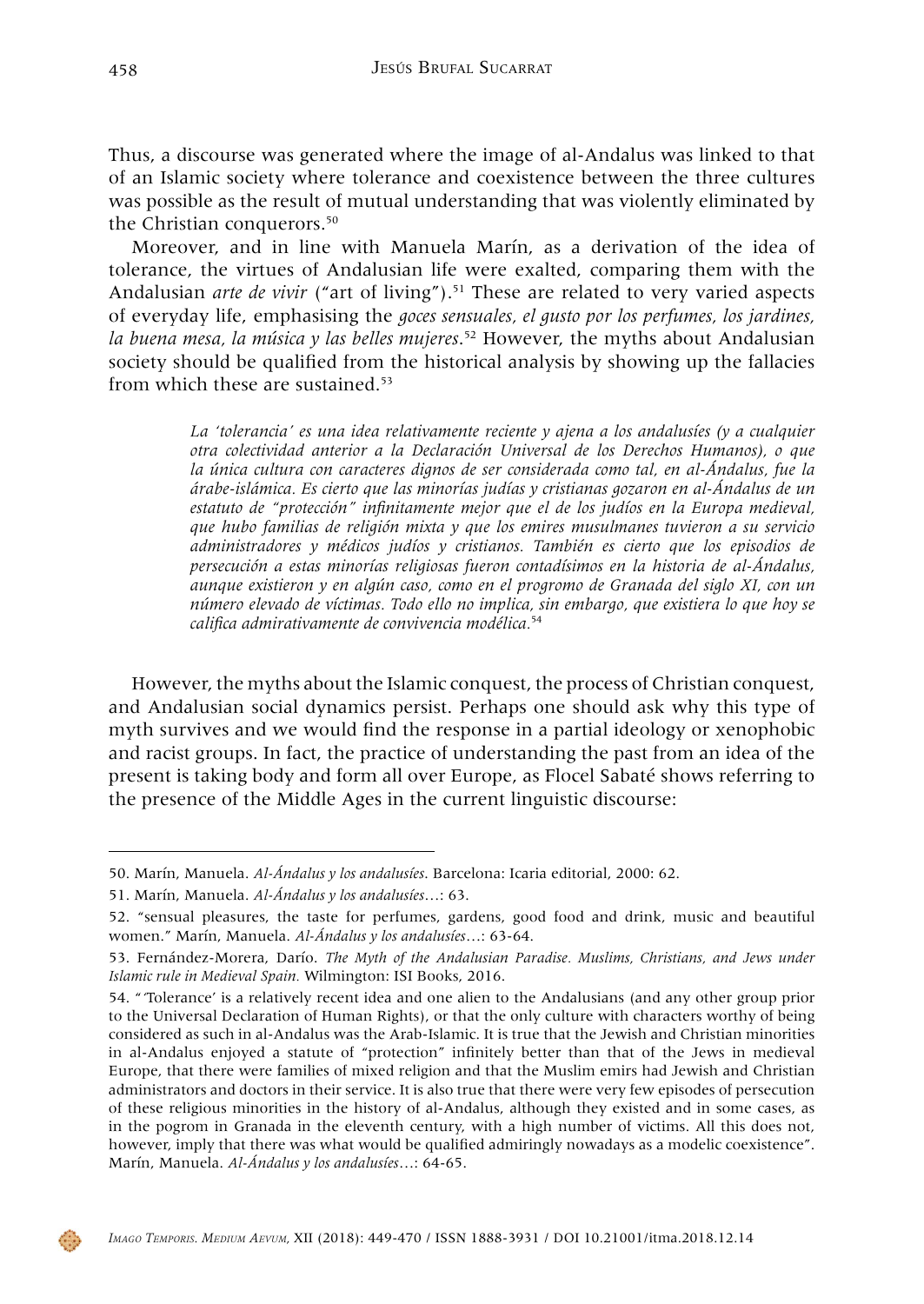Thus, a discourse was generated where the image of al-Andalus was linked to that of an Islamic society where tolerance and coexistence between the three cultures was possible as the result of mutual understanding that was violently eliminated by the Christian conquerors.<sup>50</sup>

Moreover, and in line with Manuela Marín, as a derivation of the idea of tolerance, the virtues of Andalusian life were exalted, comparing them with the Andalusian *arte de vivir* ("art of living").<sup>51</sup> These are related to very varied aspects of everyday life, emphasising the *goces sensuales, el gusto por los perfumes, los jardines, la buena mesa, la música y las belles mujeres*. 52 However, the myths about Andalusian society should be qualified from the historical analysis by showing up the fallacies from which these are sustained  $53$ 

> *La 'tolerancia' es una idea relativamente reciente y ajena a los andalusíes (y a cualquier otra colectividad anterior a la Declaración Universal de los Derechos Humanos), o que la única cultura con caracteres dignos de ser considerada como tal, en al-Ándalus, fue la árabe-islámica. Es cierto que las minorías judías y cristianas gozaron en al-Ándalus de un estatuto de "protección" infinitamente mejor que el de los judíos en la Europa medieval, que hubo familias de religión mixta y que los emires musulmanes tuvieron a su servicio administradores y médicos judíos y cristianos. También es cierto que los episodios de persecución a estas minorías religiosas fueron contadísimos en la historia de al-Ándalus, aunque existieron y en algún caso, como en el progromo de Granada del siglo XI, con un número elevado de víctimas. Todo ello no implica, sin embargo, que existiera lo que hoy se califica admirativamente de convivencia modélica.*<sup>54</sup>

However, the myths about the Islamic conquest, the process of Christian conquest, and Andalusian social dynamics persist. Perhaps one should ask why this type of myth survives and we would find the response in a partial ideology or xenophobic and racist groups. In fact, the practice of understanding the past from an idea of the present is taking body and form all over Europe, as Flocel Sabaté shows referring to the presence of the Middle Ages in the current linguistic discourse:



<sup>50.</sup> Marín, Manuela. *Al-Ándalus y los andalusíes*. Barcelona: Icaria editorial, 2000: 62.

<sup>51.</sup> Marín, Manuela. *Al-Ándalus y los andalusíes*…: 63.

<sup>52. &</sup>quot;sensual pleasures, the taste for perfumes, gardens, good food and drink, music and beautiful women." Marín, Manuela. *Al-Ándalus y los andalusíes*…: 63-64.

<sup>53.</sup> Fernández-Morera, Darío. *The Myth of the Andalusian Paradise. Muslims, Christians, and Jews under Islamic rule in Medieval Spain.* Wilmington: ISI Books, 2016.

<sup>54. &</sup>quot;*'*Tolerance' is a relatively recent idea and one alien to the Andalusians (and any other group prior to the Universal Declaration of Human Rights), or that the only culture with characters worthy of being considered as such in al-Andalus was the Arab-Islamic. It is true that the Jewish and Christian minorities in al-Andalus enjoyed a statute of "protection" infinitely better than that of the Jews in medieval Europe, that there were families of mixed religion and that the Muslim emirs had Jewish and Christian administrators and doctors in their service. It is also true that there were very few episodes of persecution of these religious minorities in the history of al-Andalus, although they existed and in some cases, as in the pogrom in Granada in the eleventh century, with a high number of victims. All this does not, however, imply that there was what would be qualified admiringly nowadays as a modelic coexistence". Marín, Manuela. *Al-Ándalus y los andalusíes*…: 64-65.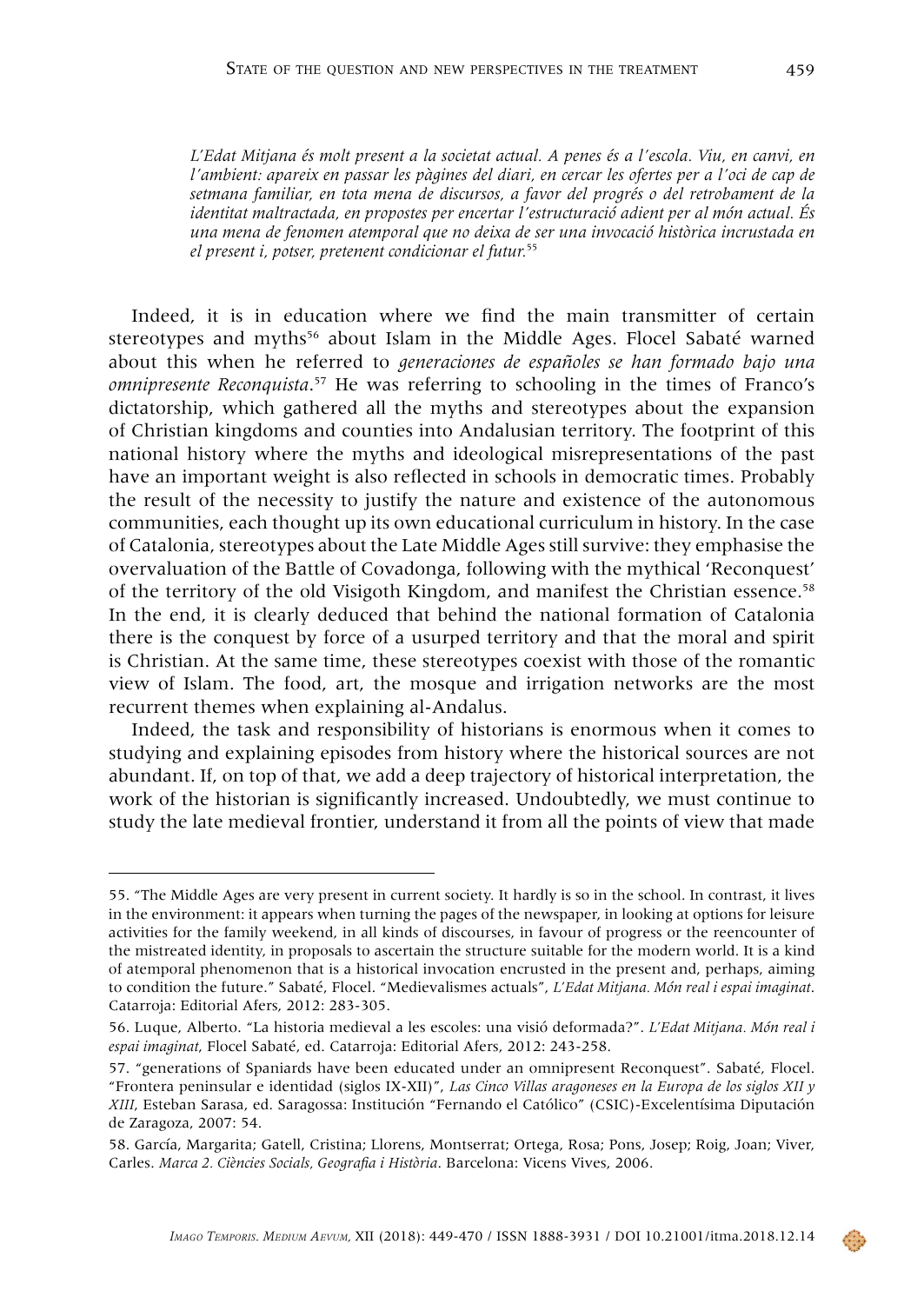*L'Edat Mitjana és molt present a la societat actual. A penes és a l'escola. Viu, en canvi, en l'ambient: apareix en passar les pàgines del diari, en cercar les ofertes per a l'oci de cap de setmana familiar, en tota mena de discursos, a favor del progrés o del retrobament de la identitat maltractada, en propostes per encertar l'estructuració adient per al món actual. És una mena de fenomen atemporal que no deixa de ser una invocació històrica incrustada en el present i, potser, pretenent condicionar el futur.*<sup>55</sup>

Indeed, it is in education where we find the main transmitter of certain stereotypes and myths<sup>56</sup> about Islam in the Middle Ages. Flocel Sabaté warned about this when he referred to *generaciones de españoles se han formado bajo una omnipresente Reconquista*. 57 He was referring to schooling in the times of Franco's dictatorship, which gathered all the myths and stereotypes about the expansion of Christian kingdoms and counties into Andalusian territory. The footprint of this national history where the myths and ideological misrepresentations of the past have an important weight is also reflected in schools in democratic times. Probably the result of the necessity to justify the nature and existence of the autonomous communities, each thought up its own educational curriculum in history. In the case of Catalonia, stereotypes about the Late Middle Ages still survive: they emphasise the overvaluation of the Battle of Covadonga, following with the mythical 'Reconquest' of the territory of the old Visigoth Kingdom, and manifest the Christian essence.<sup>58</sup> In the end, it is clearly deduced that behind the national formation of Catalonia there is the conquest by force of a usurped territory and that the moral and spirit is Christian. At the same time, these stereotypes coexist with those of the romantic view of Islam. The food, art, the mosque and irrigation networks are the most recurrent themes when explaining al-Andalus.

Indeed, the task and responsibility of historians is enormous when it comes to studying and explaining episodes from history where the historical sources are not abundant. If, on top of that, we add a deep trajectory of historical interpretation, the work of the historian is significantly increased. Undoubtedly, we must continue to study the late medieval frontier, understand it from all the points of view that made

<sup>55. &</sup>quot;The Middle Ages are very present in current society. It hardly is so in the school. In contrast, it lives in the environment: it appears when turning the pages of the newspaper, in looking at options for leisure activities for the family weekend, in all kinds of discourses, in favour of progress or the reencounter of the mistreated identity, in proposals to ascertain the structure suitable for the modern world. It is a kind of atemporal phenomenon that is a historical invocation encrusted in the present and, perhaps, aiming to condition the future." Sabaté, Flocel. "Medievalismes actuals", *L'Edat Mitjana. Món real i espai imaginat*. Catarroja: Editorial Afers, 2012: 283-305.

<sup>56.</sup> Luque, Alberto. "La historia medieval a les escoles: una visió deformada?". *L'Edat Mitjana. Món real i espai imaginat*, Flocel Sabaté, ed. Catarroja: Editorial Afers, 2012: 243-258.

<sup>57. &</sup>quot;generations of Spaniards have been educated under an omnipresent Reconquest". Sabaté, Flocel. "Frontera peninsular e identidad (siglos IX-XII)", *Las Cinco Villas aragoneses en la Europa de los siglos XII y XIII*, Esteban Sarasa, ed. Saragossa: Institución "Fernando el Católico" (CSIC)-Excelentísima Diputación de Zaragoza, 2007: 54.

<sup>58.</sup> García, Margarita; Gatell, Cristina; Llorens, Montserrat; Ortega, Rosa; Pons, Josep; Roig, Joan; Viver, Carles. *Marca 2. Ciències Socials, Geografia i Història*. Barcelona: Vicens Vives, 2006.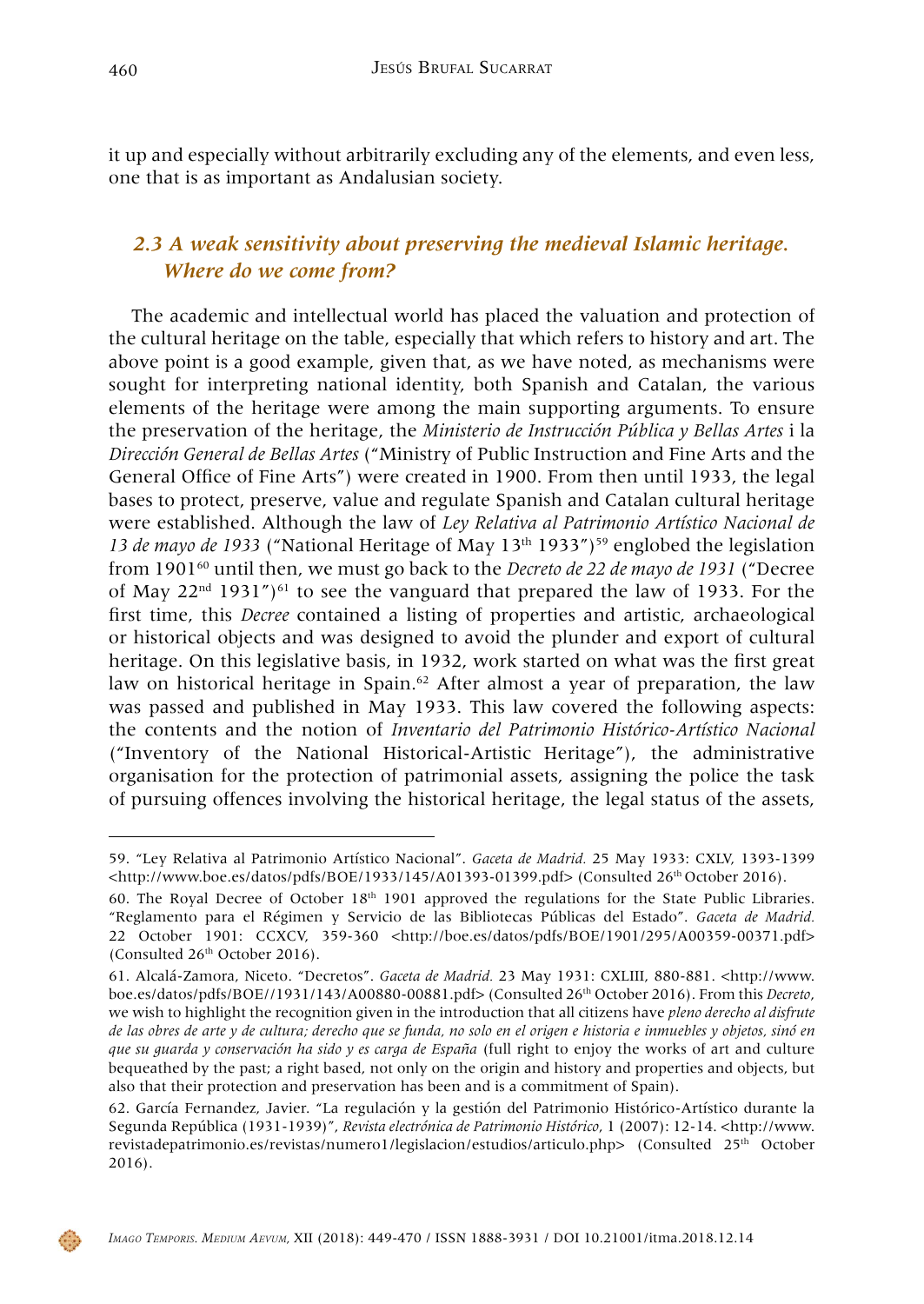it up and especially without arbitrarily excluding any of the elements, and even less, one that is as important as Andalusian society.

# *2.3 A weak sensitivity about preserving the medieval Islamic heritage. Where do we come from?*

The academic and intellectual world has placed the valuation and protection of the cultural heritage on the table, especially that which refers to history and art. The above point is a good example, given that, as we have noted, as mechanisms were sought for interpreting national identity, both Spanish and Catalan, the various elements of the heritage were among the main supporting arguments. To ensure the preservation of the heritage, the *Ministerio de Instrucción Pública y Bellas Artes* i la *Dirección General de Bellas Artes* ("Ministry of Public Instruction and Fine Arts and the General Office of Fine Arts") were created in 1900. From then until 1933, the legal bases to protect, preserve, value and regulate Spanish and Catalan cultural heritage were established. Although the law of *Ley Relativa al Patrimonio Artístico Nacional de 13 de mayo de 1933* ("National Heritage of May 13th 1933")59 englobed the legislation from 190160 until then, we must go back to the *Decreto de 22 de mayo de 1931* ("Decree of May  $22<sup>nd</sup> 1931'$ <sup>o1</sup> to see the vanguard that prepared the law of 1933. For the first time, this *Decree* contained a listing of properties and artistic, archaeological or historical objects and was designed to avoid the plunder and export of cultural heritage. On this legislative basis, in 1932, work started on what was the first great law on historical heritage in Spain.<sup> $62$ </sup> After almost a year of preparation, the law was passed and published in May 1933. This law covered the following aspects: the contents and the notion of *Inventario del Patrimonio Histórico-Artístico Nacional*  ("Inventory of the National Historical-Artistic Heritage"), the administrative organisation for the protection of patrimonial assets, assigning the police the task of pursuing offences involving the historical heritage, the legal status of the assets,



<sup>59. &</sup>quot;Ley Relativa al Patrimonio Artístico Nacional". *Gaceta de Madrid.* 25 May 1933: CXLV, 1393-1399 [<http://www.boe.es/datos/pdfs/BOE/1933/145/A01393-01399.pdf](http://www.boe.es/datos/pdfs/BOE/1933/145/A01393-01399.pdf)> (Consulted 26th October 2016).

<sup>60.</sup> The Royal Decree of October 18th 1901 approved the regulations for the State Public Libraries. "Reglamento para el Régimen y Servicio de las Bibliotecas Públicas del Estado". *Gaceta de Madrid.*  22 October 1901: CCXCV, 359-360 <<http://boe.es/datos/pdfs/BOE/1901/295/A00359-00371.pdf>> (Consulted 26<sup>th</sup> October 2016).

<sup>61.</sup> Alcalá-Zamora, Niceto. "Decretos". *Gaceta de Madrid.* 23 May 1931: CXLIII, 880-881. <[http://www.](http://www.boe.es/datos/pdfs/BOE//1931/143/A00880-00881.pdf) [boe.es/datos/pdfs/BOE//1931/143/A00880-00881.pdf](http://www.boe.es/datos/pdfs/BOE//1931/143/A00880-00881.pdf)> (Consulted 26th October 2016). From this *Decreto*, we wish to highlight the recognition given in the introduction that all citizens have *pleno derecho al disfrute de las obres de arte y de cultura; derecho que se funda, no solo en el origen e historia e inmuebles y objetos, sinó en que su guarda y conservación ha sido y es carga de España* (full right to enjoy the works of art and culture bequeathed by the past; a right based, not only on the origin and history and properties and objects, but also that their protection and preservation has been and is a commitment of Spain).

<sup>62.</sup> García Fernandez, Javier. "La regulación y la gestión del Patrimonio Histórico-Artístico durante la Segunda República (1931-1939)", *Revista electrónica de Patrimonio Histórico*, 1 (2007): 12-14. <http://www. revistadepatrimonio.es/revistas/numero1/legislacion/estudios/articulo.php> (Consulted 25th October 2016).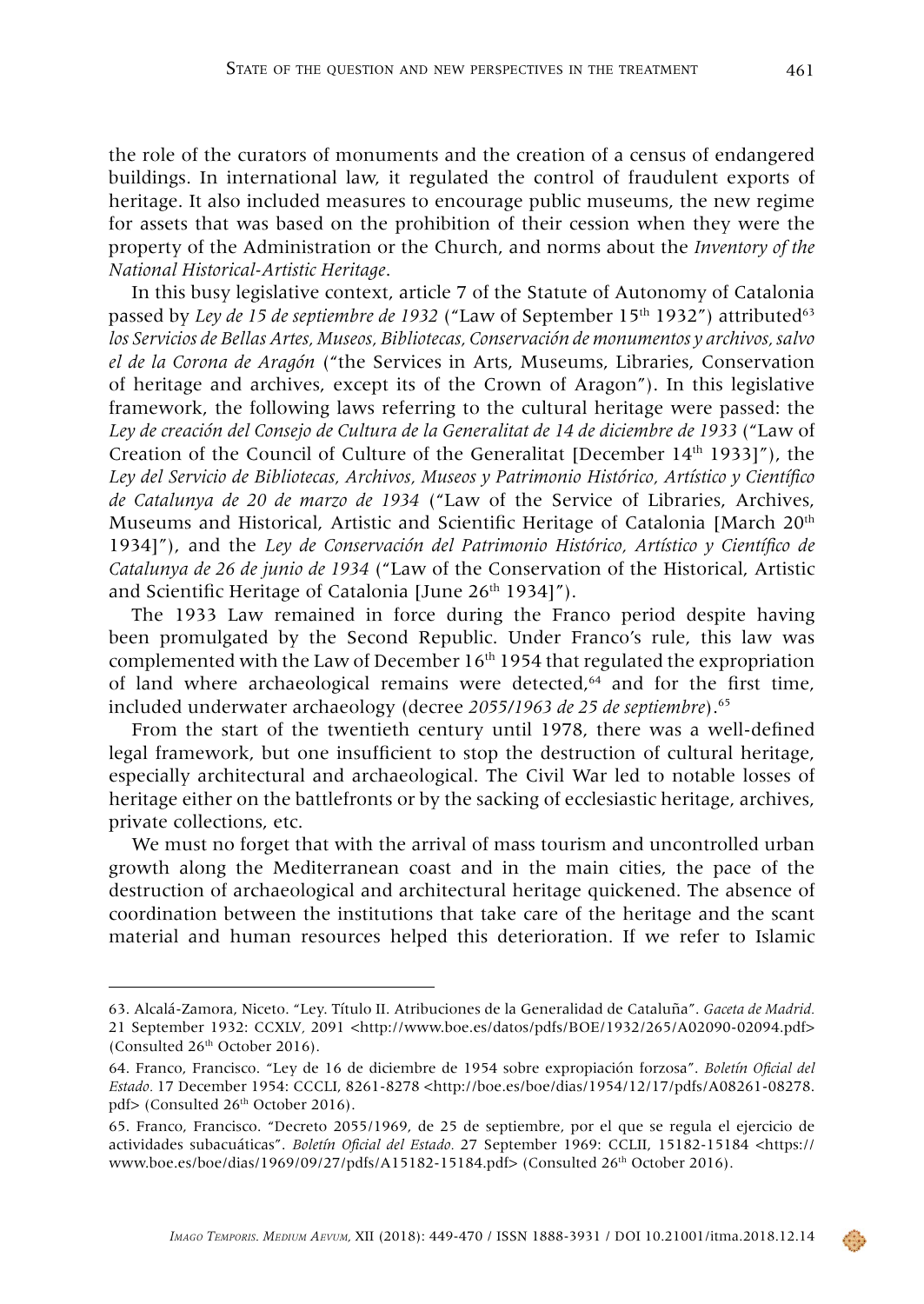the role of the curators of monuments and the creation of a census of endangered buildings. In international law, it regulated the control of fraudulent exports of heritage. It also included measures to encourage public museums, the new regime for assets that was based on the prohibition of their cession when they were the property of the Administration or the Church, and norms about the *Inventory of the National Historical-Artistic Heritage*.

In this busy legislative context, article 7 of the Statute of Autonomy of Catalonia passed by *Ley de 15 de septiembre de 1932* ("Law of September 15<sup>th</sup> 1932") attributed<sup>63</sup> *los Servicios de Bellas Artes, Museos, Bibliotecas, Conservación de monumentos y archivos, salvo el de la Corona de Aragón* ("the Services in Arts, Museums, Libraries, Conservation of heritage and archives, except its of the Crown of Aragon"). In this legislative framework, the following laws referring to the cultural heritage were passed: the *Ley de creación del Consejo de Cultura de la Generalitat de 14 de diciembre de 1933* ("Law of Creation of the Council of Culture of the Generalitat [December  $14<sup>th</sup> 1933$ ]"), the *Ley del Servicio de Bibliotecas, Archivos, Museos y Patrimonio Histórico, Artístico y Científico de Catalunya de 20 de marzo de 1934* ("Law of the Service of Libraries, Archives, Museums and Historical, Artistic and Scientific Heritage of Catalonia [March 20<sup>th</sup> 1934]"), and the *Ley de Conservación del Patrimonio Histórico, Artístico y Científico de Catalunya de 26 de junio de 1934* ("Law of the Conservation of the Historical, Artistic and Scientific Heritage of Catalonia [June 26<sup>th</sup> 1934]").

The 1933 Law remained in force during the Franco period despite having been promulgated by the Second Republic. Under Franco's rule, this law was complemented with the Law of December  $16<sup>th</sup> 1954$  that regulated the expropriation of land where archaeological remains were detected, $64$  and for the first time, included underwater archaeology (decree *2055/1963 de 25 de septiembre*).65

From the start of the twentieth century until 1978, there was a well-defined legal framework, but one insufficient to stop the destruction of cultural heritage, especially architectural and archaeological. The Civil War led to notable losses of heritage either on the battlefronts or by the sacking of ecclesiastic heritage, archives, private collections, etc.

We must no forget that with the arrival of mass tourism and uncontrolled urban growth along the Mediterranean coast and in the main cities, the pace of the destruction of archaeological and architectural heritage quickened. The absence of coordination between the institutions that take care of the heritage and the scant material and human resources helped this deterioration. If we refer to Islamic

 $\langle \cdot \rangle$ 

<sup>63.</sup> Alcalá-Zamora, Niceto. "Ley. Título II. Atribuciones de la Generalidad de Cataluña". *Gaceta de Madrid.*  21 September 1932: CCXLV, 2091 <<http://www.boe.es/datos/pdfs/BOE/1932/265/A02090-02094.pdf>> (Consulted 26<sup>th</sup> October 2016).

<sup>64.</sup> Franco, Francisco. "Ley de 16 de diciembre de 1954 sobre expropiación forzosa". *Boletín Oficial del*  Estado. 17 December 1954: CCCLI, 8261-8278 <[http://boe.es/boe/dias/1954/12/17/pdfs/A08261-08278.](http://boe.es/boe/dias/1954/12/17/pdfs/A08261-08278.pdf) [pdf](http://boe.es/boe/dias/1954/12/17/pdfs/A08261-08278.pdf)> (Consulted 26<sup>th</sup> October 2016).

<sup>65.</sup> Franco, Francisco. "Decreto 2055/1969, de 25 de septiembre, por el que se regula el ejercicio de actividades subacuáticas". *Boletín Oficial del Estado.* 27 September 1969: CCLII, 15182-15184 <[https://](https://www.boe.es/boe/dias/1969/09/27/pdfs/A15182-15184.pdf) [www.boe.es/boe/dias/1969/09/27/pdfs/A15182-15184.pdf](https://www.boe.es/boe/dias/1969/09/27/pdfs/A15182-15184.pdf)> (Consulted 26th October 2016).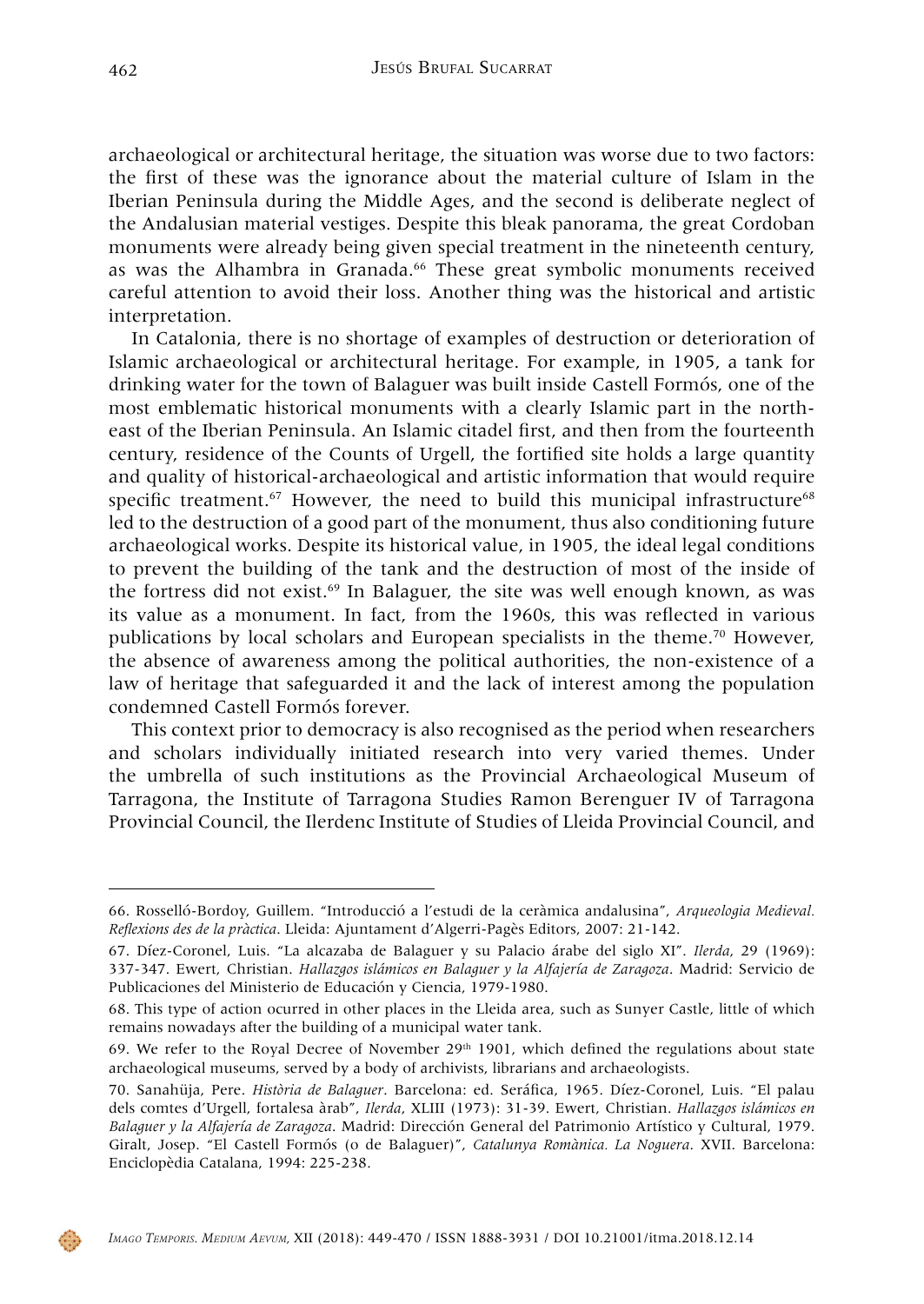archaeological or architectural heritage, the situation was worse due to two factors: the first of these was the ignorance about the material culture of Islam in the Iberian Peninsula during the Middle Ages, and the second is deliberate neglect of the Andalusian material vestiges. Despite this bleak panorama, the great Cordoban monuments were already being given special treatment in the nineteenth century, as was the Alhambra in Granada.<sup>66</sup> These great symbolic monuments received careful attention to avoid their loss. Another thing was the historical and artistic interpretation.

In Catalonia, there is no shortage of examples of destruction or deterioration of Islamic archaeological or architectural heritage. For example, in 1905, a tank for drinking water for the town of Balaguer was built inside Castell Formós, one of the most emblematic historical monuments with a clearly Islamic part in the northeast of the Iberian Peninsula. An Islamic citadel first, and then from the fourteenth century, residence of the Counts of Urgell, the fortified site holds a large quantity and quality of historical-archaeological and artistic information that would require specific treatment.<sup>67</sup> However, the need to build this municipal infrastructure<sup>68</sup> led to the destruction of a good part of the monument, thus also conditioning future archaeological works. Despite its historical value, in 1905, the ideal legal conditions to prevent the building of the tank and the destruction of most of the inside of the fortress did not exist.69 In Balaguer, the site was well enough known, as was its value as a monument. In fact, from the 1960s, this was reflected in various publications by local scholars and European specialists in the theme.70 However, the absence of awareness among the political authorities, the non-existence of a law of heritage that safeguarded it and the lack of interest among the population condemned Castell Formós forever.

This context prior to democracy is also recognised as the period when researchers and scholars individually initiated research into very varied themes. Under the umbrella of such institutions as the Provincial Archaeological Museum of Tarragona, the Institute of Tarragona Studies Ramon Berenguer IV of Tarragona Provincial Council, the Ilerdenc Institute of Studies of Lleida Provincial Council, and



<sup>66.</sup> Rosselló-Bordoy, Guillem. "Introducció a l'estudi de la ceràmica andalusina", *Arqueologia Medieval. Reflexions des de la pràctica*. Lleida: Ajuntament d'Algerri-Pagès Editors, 2007: 21-142.

<sup>67.</sup> Díez-Coronel, Luis. "La alcazaba de Balaguer y su Palacio árabe del siglo XI". *Ilerda*, 29 (1969): 337-347. Ewert, Christian. *Hallazgos islámicos en Balaguer y la Alfajería de Zaragoza*. Madrid: Servicio de Publicaciones del Ministerio de Educación y Ciencia, 1979-1980.

<sup>68.</sup> This type of action ocurred in other places in the Lleida area, such as Sunyer Castle, little of which remains nowadays after the building of a municipal water tank.

<sup>69.</sup> We refer to the Royal Decree of November  $29<sup>th</sup>$  1901, which defined the regulations about state archaeological museums, served by a body of archivists, librarians and archaeologists.

<sup>70.</sup> Sanahüja, Pere. *Història de Balaguer*. Barcelona: ed. Seráfica, 1965. Díez-Coronel, Luis. "El palau dels comtes d'Urgell, fortalesa àrab", *Ilerda*, XLIII (1973): 31-39. Ewert, Christian. *Hallazgos islámicos en Balaguer y la Alfajería de Zaragoza*. Madrid: Dirección General del Patrimonio Artístico y Cultural, 1979. Giralt, Josep. "El Castell Formós (o de Balaguer)", *Catalunya Romànica. La Noguera*. XVII. Barcelona: Enciclopèdia Catalana, 1994: 225-238.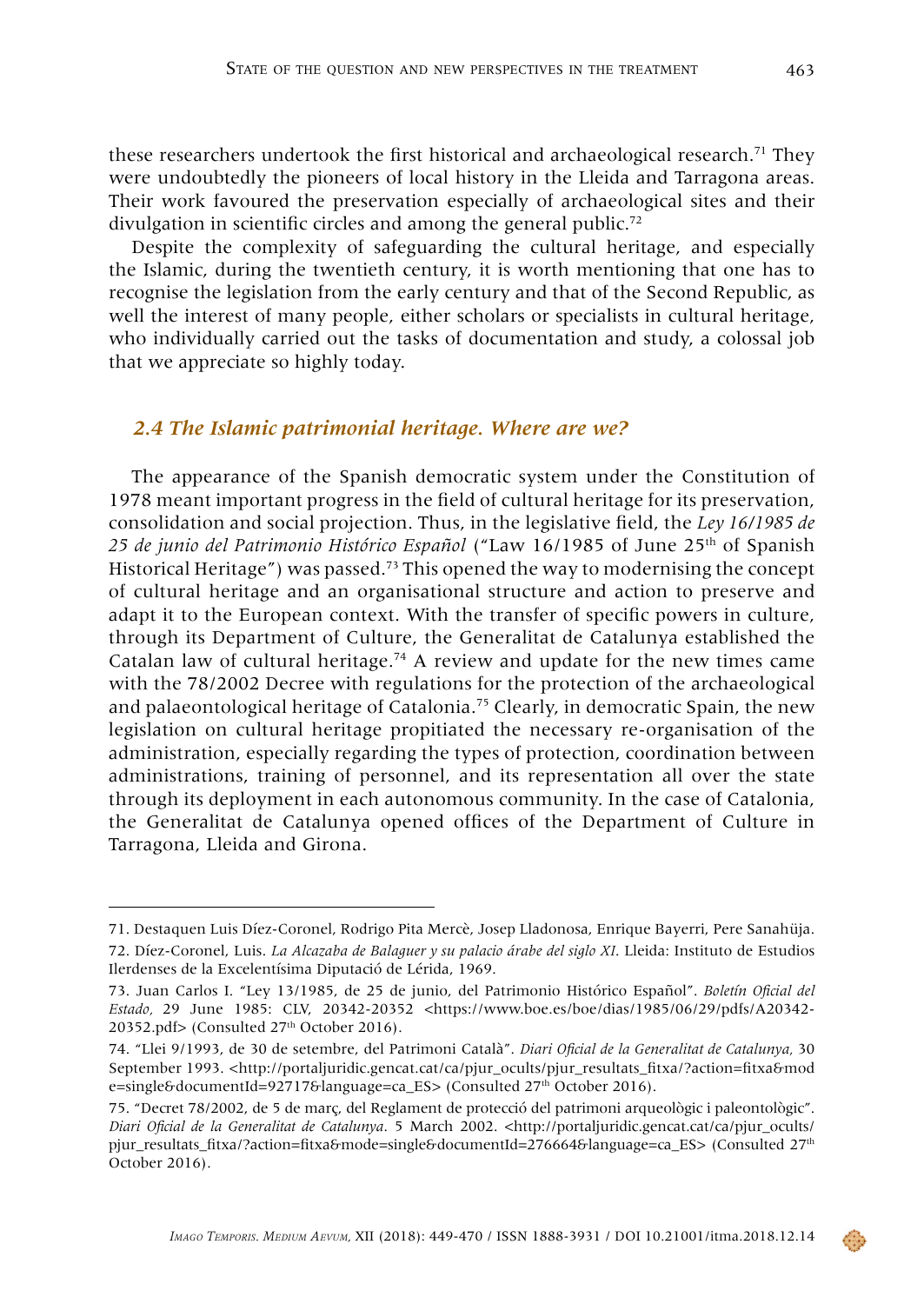these researchers undertook the first historical and archaeological research.71 They were undoubtedly the pioneers of local history in the Lleida and Tarragona areas. Their work favoured the preservation especially of archaeological sites and their divulgation in scientific circles and among the general public.<sup>72</sup>

Despite the complexity of safeguarding the cultural heritage, and especially the Islamic, during the twentieth century, it is worth mentioning that one has to recognise the legislation from the early century and that of the Second Republic, as well the interest of many people, either scholars or specialists in cultural heritage, who individually carried out the tasks of documentation and study, a colossal job that we appreciate so highly today.

#### *2.4 The Islamic patrimonial heritage. Where are we?*

The appearance of the Spanish democratic system under the Constitution of 1978 meant important progress in the field of cultural heritage for its preservation, consolidation and social projection. Thus, in the legislative field, the *Ley 16/1985 de 25 de junio del Patrimonio Histórico Español* ("Law 16/1985 of June 25th of Spanish Historical Heritage") was passed.<sup>73</sup> This opened the way to modernising the concept of cultural heritage and an organisational structure and action to preserve and adapt it to the European context. With the transfer of specific powers in culture, through its Department of Culture, the Generalitat de Catalunya established the Catalan law of cultural heritage.74 A review and update for the new times came with the 78/2002 Decree with regulations for the protection of the archaeological and palaeontological heritage of Catalonia.75 Clearly, in democratic Spain, the new legislation on cultural heritage propitiated the necessary re-organisation of the administration, especially regarding the types of protection, coordination between administrations, training of personnel, and its representation all over the state through its deployment in each autonomous community. In the case of Catalonia, the Generalitat de Catalunya opened offices of the Department of Culture in Tarragona, Lleida and Girona.

<sup>71.</sup> Destaquen Luis Díez-Coronel, Rodrigo Pita Mercè, Josep Lladonosa, Enrique Bayerri, Pere Sanahüja. 72. Díez-Coronel, Luis. *La Alcazaba de Balaguer y su palacio árabe del siglo XI*. Lleida: Instituto de Estudios Ilerdenses de la Excelentísima Diputació de Lérida, 1969.

<sup>73.</sup> Juan Carlos I. "Ley 13/1985, de 25 de junio, del Patrimonio Histórico Español". *Boletín Oficial del Estado,* 29 June 1985: CLV, 20342-20352 [<https://www.boe.es/boe/dias/1985/06/29/pdfs/A20342-](https://www.boe.es/boe/dias/1985/06/29/pdfs/A20342-20352.pdf) [20352.pdf>](https://www.boe.es/boe/dias/1985/06/29/pdfs/A20342-20352.pdf) (Consulted 27<sup>th</sup> October 2016).

<sup>74. &</sup>quot;Llei 9/1993, de 30 de setembre, del Patrimoni Català". *Diari Oficial de la Generalitat de Catalunya,* 30 September 1993. [<http://portaljuridic.gencat.cat/ca/pjur\\_ocults/pjur\\_resultats\\_fitxa/?action=fitxa&mod](http://portaljuridic.gencat.cat/ca/pjur_ocults/pjur_resultats_fitxa/?action=fitxa&mode=single&documentId=92717&language=ca_ES) [e=single&documentId=92717&language=ca\\_ES](http://portaljuridic.gencat.cat/ca/pjur_ocults/pjur_resultats_fitxa/?action=fitxa&mode=single&documentId=92717&language=ca_ES)> (Consulted 27<sup>th</sup> October 2016).

<sup>75. &</sup>quot;Decret 78/2002, de 5 de març, del Reglament de protecció del patrimoni arqueològic i paleontològic". *Diari Oficial de la Generalitat de Catalunya*. 5 March 2002. [<http://portaljuridic.gencat.cat/ca/pjur\\_ocults/](http://portaljuridic.gencat.cat/ca/pjur_ocults/pjur_resultats_fitxa/?action=fitxa&mode=single&documentId=276664&language=ca_ES) [pjur\\_resultats\\_fitxa/?action=fitxa&mode=single&documentId=276664&language=ca\\_ES>](http://portaljuridic.gencat.cat/ca/pjur_ocults/pjur_resultats_fitxa/?action=fitxa&mode=single&documentId=276664&language=ca_ES) (Consulted 27<sup>th</sup> October 2016).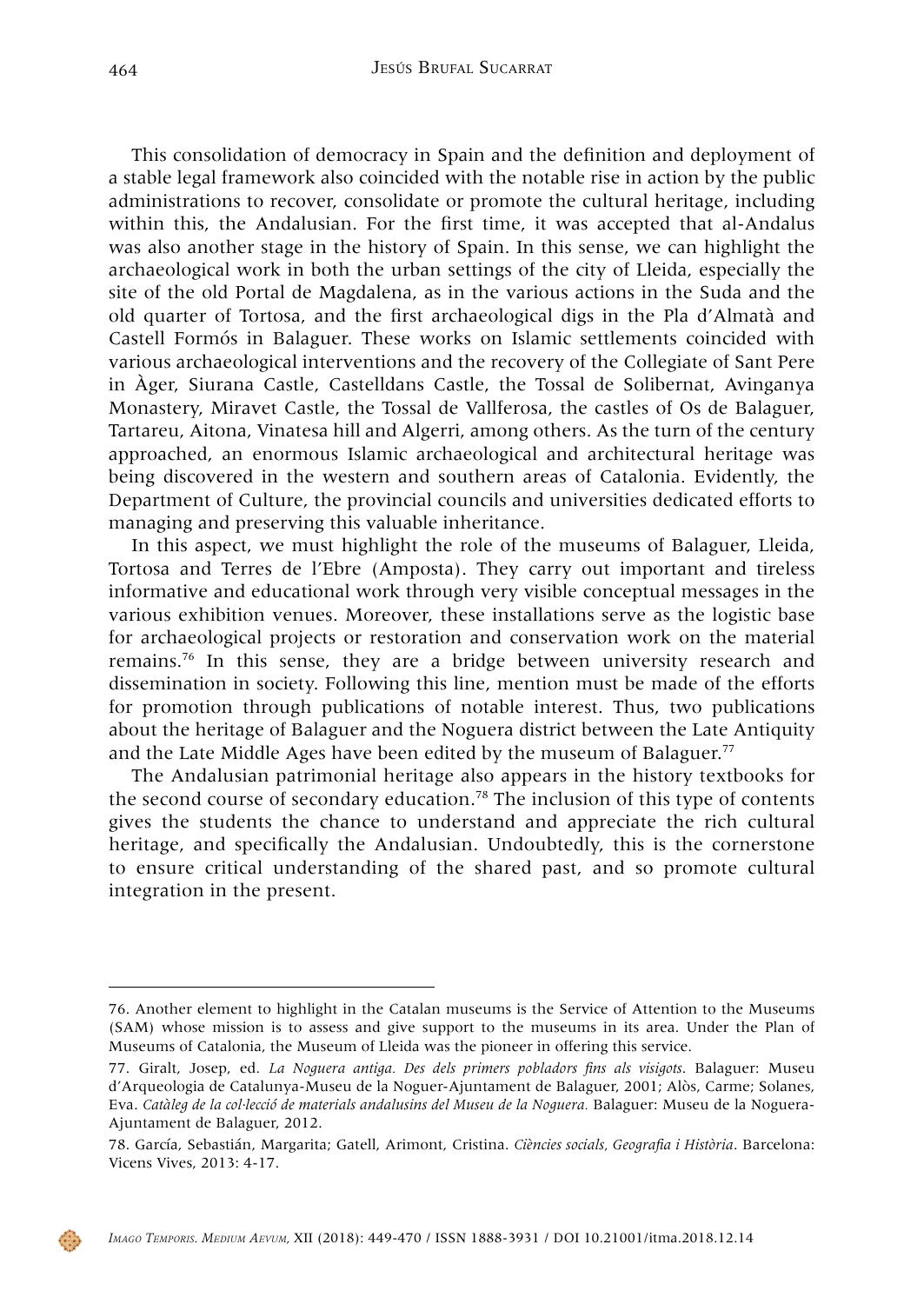This consolidation of democracy in Spain and the definition and deployment of a stable legal framework also coincided with the notable rise in action by the public administrations to recover, consolidate or promote the cultural heritage, including within this, the Andalusian. For the first time, it was accepted that al-Andalus was also another stage in the history of Spain. In this sense, we can highlight the archaeological work in both the urban settings of the city of Lleida, especially the site of the old Portal de Magdalena, as in the various actions in the Suda and the old quarter of Tortosa, and the first archaeological digs in the Pla d'Almatà and Castell Formós in Balaguer. These works on Islamic settlements coincided with various archaeological interventions and the recovery of the Collegiate of Sant Pere in Àger, Siurana Castle, Castelldans Castle, the Tossal de Solibernat, Avinganya Monastery, Miravet Castle, the Tossal de Vallferosa, the castles of Os de Balaguer, Tartareu, Aitona, Vinatesa hill and Algerri, among others. As the turn of the century approached, an enormous Islamic archaeological and architectural heritage was being discovered in the western and southern areas of Catalonia. Evidently, the Department of Culture, the provincial councils and universities dedicated efforts to managing and preserving this valuable inheritance.

In this aspect, we must highlight the role of the museums of Balaguer, Lleida, Tortosa and Terres de l'Ebre (Amposta). They carry out important and tireless informative and educational work through very visible conceptual messages in the various exhibition venues. Moreover, these installations serve as the logistic base for archaeological projects or restoration and conservation work on the material remains.76 In this sense, they are a bridge between university research and dissemination in society. Following this line, mention must be made of the efforts for promotion through publications of notable interest. Thus, two publications about the heritage of Balaguer and the Noguera district between the Late Antiquity and the Late Middle Ages have been edited by the museum of Balaguer.<sup>77</sup>

The Andalusian patrimonial heritage also appears in the history textbooks for the second course of secondary education.78 The inclusion of this type of contents gives the students the chance to understand and appreciate the rich cultural heritage, and specifically the Andalusian. Undoubtedly, this is the cornerstone to ensure critical understanding of the shared past, and so promote cultural integration in the present.



<sup>76.</sup> Another element to highlight in the Catalan museums is the Service of Attention to the Museums (SAM) whose mission is to assess and give support to the museums in its area. Under the Plan of Museums of Catalonia, the Museum of Lleida was the pioneer in offering this service.

<sup>77.</sup> Giralt, Josep, ed. *La Noguera antiga. Des dels primers pobladors fins als visigots*. Balaguer: Museu d'Arqueologia de Catalunya-Museu de la Noguer-Ajuntament de Balaguer, 2001; Alòs, Carme; Solanes, Eva. *Catàleg de la col·lecció de materials andalusins del Museu de la Noguera.* Balaguer: Museu de la Noguera-Ajuntament de Balaguer, 2012.

<sup>78.</sup> García, Sebastián, Margarita; Gatell, Arimont, Cristina. *Ciències socials, Geografia i Història*. Barcelona: Vicens Vives, 2013: 4-17.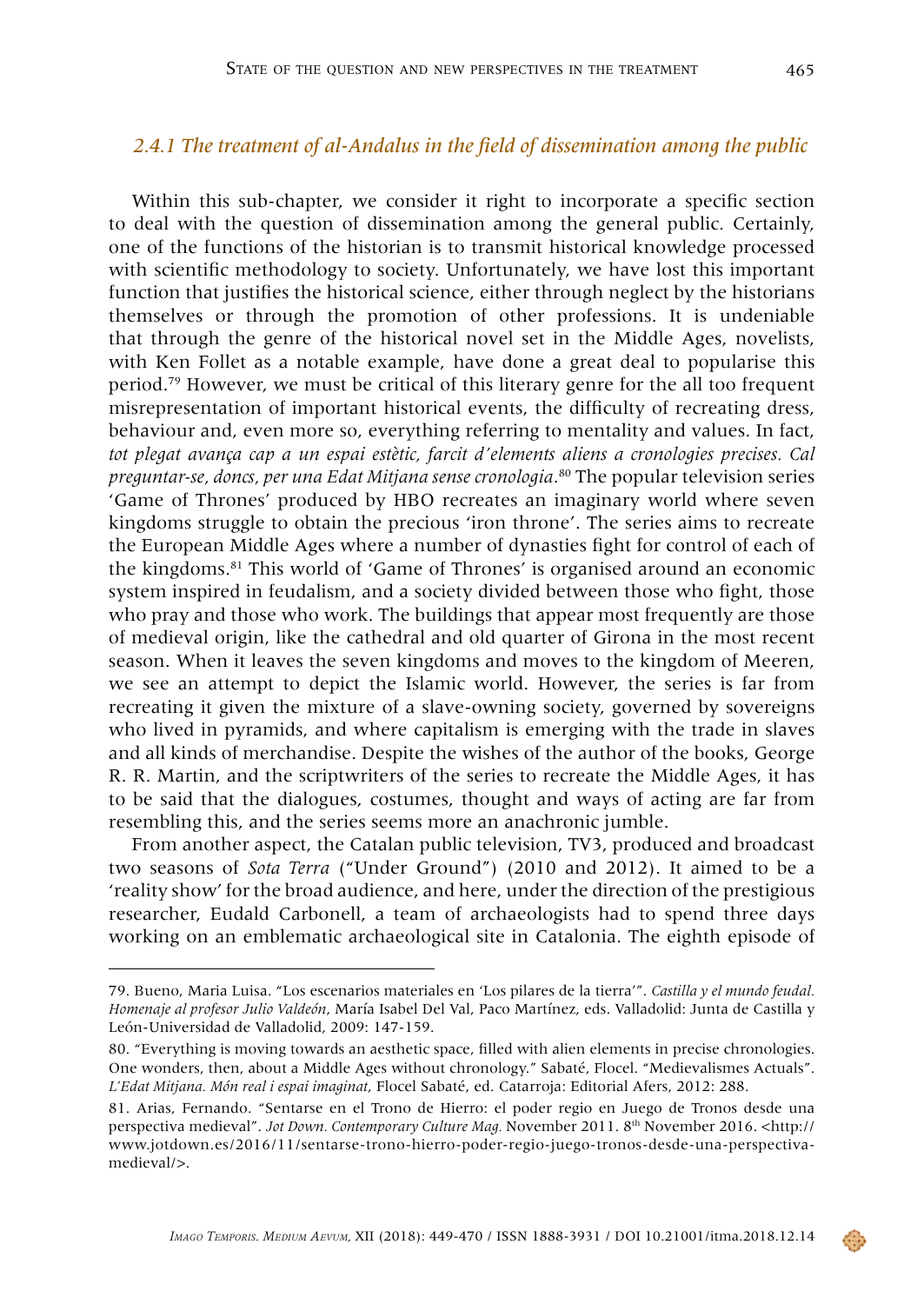#### *2.4.1 The treatment of al-Andalus in the field of dissemination among the public*

Within this sub-chapter, we consider it right to incorporate a specific section to deal with the question of dissemination among the general public. Certainly, one of the functions of the historian is to transmit historical knowledge processed with scientific methodology to society. Unfortunately, we have lost this important function that justifies the historical science, either through neglect by the historians themselves or through the promotion of other professions. It is undeniable that through the genre of the historical novel set in the Middle Ages, novelists, with Ken Follet as a notable example, have done a great deal to popularise this period.79 However, we must be critical of this literary genre for the all too frequent misrepresentation of important historical events, the difficulty of recreating dress, behaviour and, even more so, everything referring to mentality and values. In fact, *tot plegat avança cap a un espai estètic, farcit d'elements aliens a cronologies precises. Cal preguntar-se, doncs, per una Edat Mitjana sense cronologia*. 80 The popular television series 'Game of Thrones' produced by HBO recreates an imaginary world where seven kingdoms struggle to obtain the precious 'iron throne'. The series aims to recreate the European Middle Ages where a number of dynasties fight for control of each of the kingdoms.81 This world of 'Game of Thrones' is organised around an economic system inspired in feudalism, and a society divided between those who fight, those who pray and those who work. The buildings that appear most frequently are those of medieval origin, like the cathedral and old quarter of Girona in the most recent season. When it leaves the seven kingdoms and moves to the kingdom of Meeren, we see an attempt to depict the Islamic world. However, the series is far from recreating it given the mixture of a slave-owning society, governed by sovereigns who lived in pyramids, and where capitalism is emerging with the trade in slaves and all kinds of merchandise. Despite the wishes of the author of the books, George R. R. Martin, and the scriptwriters of the series to recreate the Middle Ages, it has to be said that the dialogues, costumes, thought and ways of acting are far from resembling this, and the series seems more an anachronic jumble.

From another aspect, the Catalan public television, TV3, produced and broadcast two seasons of *Sota Terra* ("Under Ground") (2010 and 2012). It aimed to be a 'reality show' for the broad audience, and here, under the direction of the prestigious researcher, Eudald Carbonell, a team of archaeologists had to spend three days working on an emblematic archaeological site in Catalonia. The eighth episode of

 $\langle \cdot \rangle$ 

<sup>79.</sup> Bueno, Maria Luisa. "Los escenarios materiales en 'Los pilares de la tierra'". *Castilla y el mundo feudal. Homenaje al profesor Julio Valdeón*, María Isabel Del Val, Paco Martínez, eds. Valladolid: Junta de Castilla y León-Universidad de Valladolid, 2009: 147-159.

<sup>80. &</sup>quot;Everything is moving towards an aesthetic space, filled with alien elements in precise chronologies. One wonders, then, about a Middle Ages without chronology." Sabaté, Flocel. "Medievalismes Actuals". *L'Edat Mitjana. Món real i espai imaginat*, Flocel Sabaté, ed. Catarroja: Editorial Afers, 2012: 288.

<sup>81.</sup> Arias, Fernando. "Sentarse en el Trono de Hierro: el poder regio en Juego de Tronos desde una perspectiva medieval". *Jot Down. Contemporary Culture Mag.* November 2011. 8th November 2016. <http:// www.jotdown.es/2016/11/sentarse-trono-hierro-poder-regio-juego-tronos-desde-una-perspectivamedieval/>.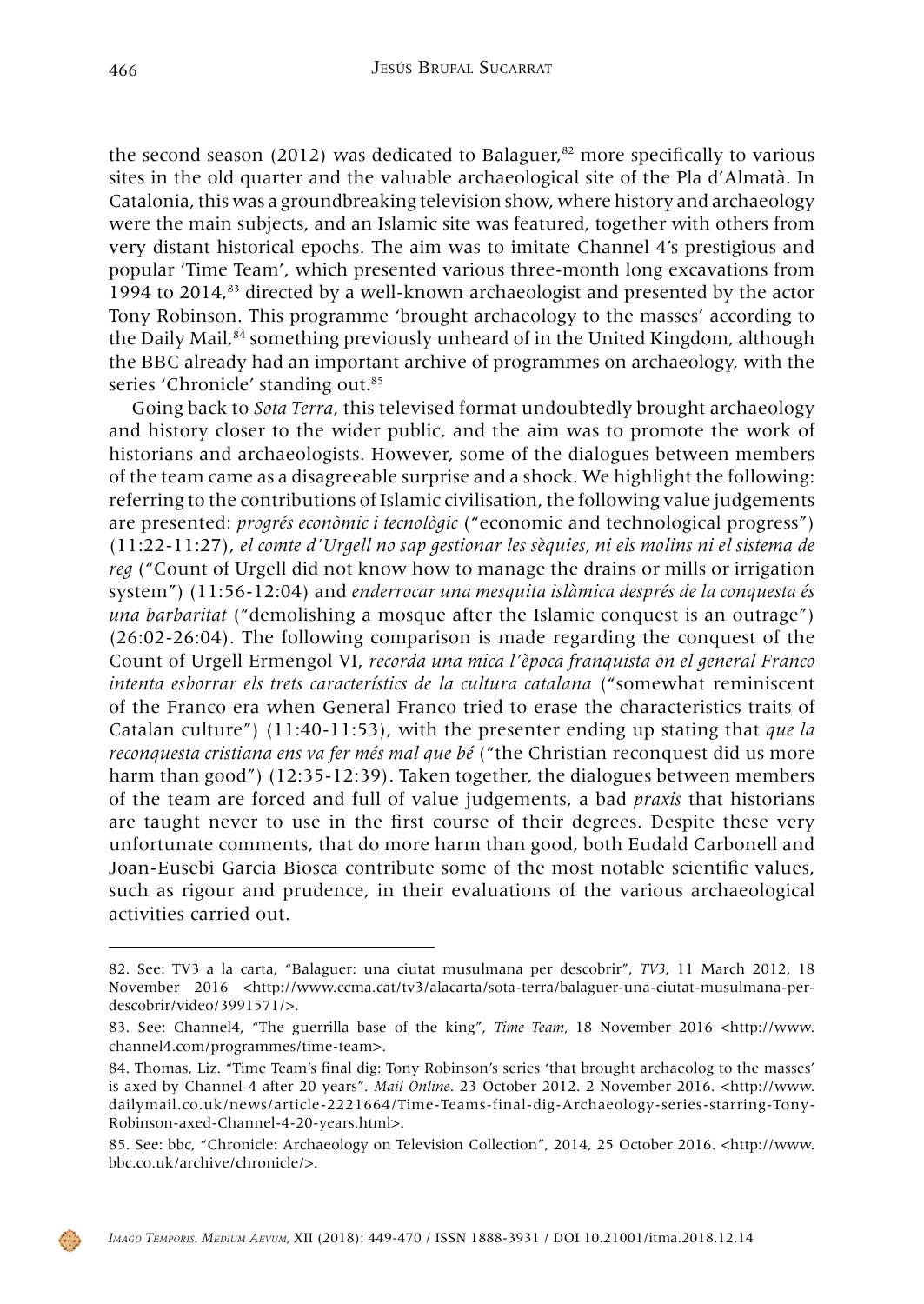the second season (2012) was dedicated to Balaguer, $^{82}$  more specifically to various sites in the old quarter and the valuable archaeological site of the Pla d'Almatà. In Catalonia, this was a groundbreaking television show, where history and archaeology were the main subjects, and an Islamic site was featured, together with others from very distant historical epochs. The aim was to imitate Channel 4's prestigious and popular 'Time Team', which presented various three-month long excavations from 1994 to  $2014<sup>83</sup>$  directed by a well-known archaeologist and presented by the actor Tony Robinson. This programme 'brought archaeology to the masses' according to the Daily Mail,<sup>84</sup> something previously unheard of in the United Kingdom, although the BBC already had an important archive of programmes on archaeology, with the series 'Chronicle' standing out.<sup>85</sup>

Going back to *Sota Terra*, this televised format undoubtedly brought archaeology and history closer to the wider public, and the aim was to promote the work of historians and archaeologists. However, some of the dialogues between members of the team came as a disagreeable surprise and a shock. We highlight the following: referring to the contributions of Islamic civilisation, the following value judgements are presented: *progrés econòmic i tecnològic* ("economic and technological progress") (11:22-11:27), *el comte d'Urgell no sap gestionar les sèquies, ni els molins ni el sistema de reg* ("Count of Urgell did not know how to manage the drains or mills or irrigation system") (11:56-12:04) and *enderrocar una mesquita islàmica després de la conquesta és una barbaritat* ("demolishing a mosque after the Islamic conquest is an outrage") (26:02-26:04). The following comparison is made regarding the conquest of the Count of Urgell Ermengol VI, *recorda una mica l'època franquista on el general Franco intenta esborrar els trets característics de la cultura catalana* ("somewhat reminiscent of the Franco era when General Franco tried to erase the characteristics traits of Catalan culture") (11:40-11:53), with the presenter ending up stating that *que la reconquesta cristiana ens va fer més mal que bé* ("the Christian reconquest did us more harm than good") (12:35-12:39). Taken together, the dialogues between members of the team are forced and full of value judgements, a bad *praxis* that historians are taught never to use in the first course of their degrees. Despite these very unfortunate comments, that do more harm than good, both Eudald Carbonell and Joan-Eusebi Garcia Biosca contribute some of the most notable scientific values, such as rigour and prudence, in their evaluations of the various archaeological activities carried out.



<sup>82.</sup> See: TV3 a la carta, "Balaguer: una ciutat musulmana per descobrir", *TV3*, 11 March 2012, 18 November 2016 <[http://www.ccma.cat/tv3/alacarta/sota-terra/balaguer-una-ciutat-musulmana-per](http://www.ccma.cat/tv3/alacarta/sota-terra/balaguer-una-ciutat-musulmana-per-descobrir/video/3991571/)[descobrir/video/3991571/>](http://www.ccma.cat/tv3/alacarta/sota-terra/balaguer-una-ciutat-musulmana-per-descobrir/video/3991571/).

<sup>83.</sup> See: Channel4, "The guerrilla base of the king", *Time Team,* 18 November 2016 <http://www. channel4.com/programmes/time-team>.

<sup>84.</sup> Thomas, Liz. "Time Team's final dig: Tony Robinson's series 'that brought archaeolog to the masses' is axed by Channel 4 after 20 years". *Mail Online*. 23 October 2012. 2 November 2016. <http://www. dailymail.co.uk/news/article-2221664/Time-Teams-final-dig-Archaeology-series-starring-Tony-Robinson-axed-Channel-4-20-years.html>.

<sup>85.</sup> See: bbc, "Chronicle: Archaeology on Television Collection", 2014, 25 October 2016. <http://www. bbc.co.uk/archive/chronicle/>.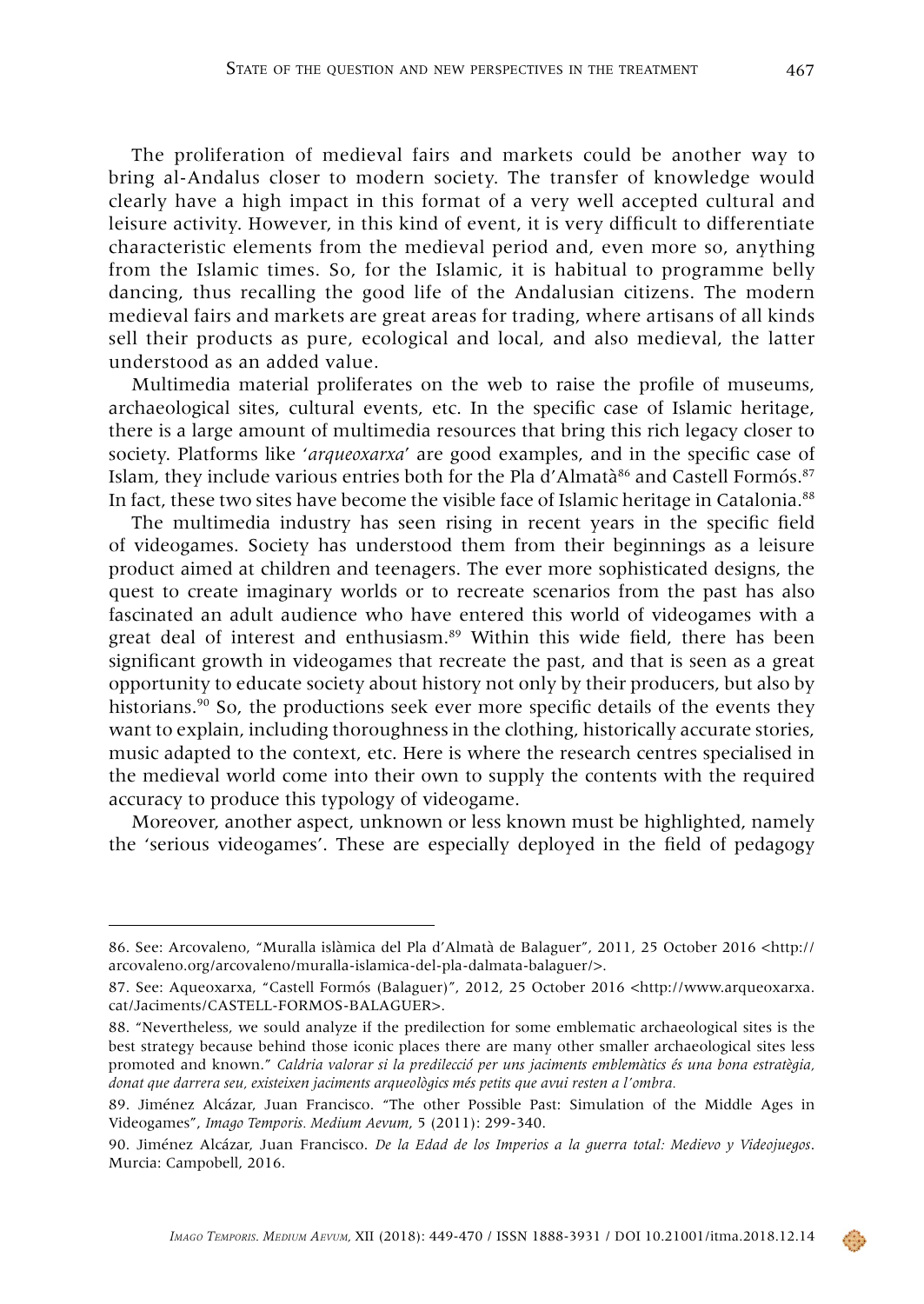The proliferation of medieval fairs and markets could be another way to bring al-Andalus closer to modern society. The transfer of knowledge would clearly have a high impact in this format of a very well accepted cultural and leisure activity. However, in this kind of event, it is very difficult to differentiate characteristic elements from the medieval period and, even more so, anything from the Islamic times. So, for the Islamic, it is habitual to programme belly dancing, thus recalling the good life of the Andalusian citizens. The modern medieval fairs and markets are great areas for trading, where artisans of all kinds sell their products as pure, ecological and local, and also medieval, the latter understood as an added value.

Multimedia material proliferates on the web to raise the profile of museums, archaeological sites, cultural events, etc. In the specific case of Islamic heritage, there is a large amount of multimedia resources that bring this rich legacy closer to society. Platforms like '*arqueoxarxa*' are good examples, and in the specific case of Islam, they include various entries both for the Pla d'Almatà<sup>86</sup> and Castell Formós.<sup>87</sup> In fact, these two sites have become the visible face of Islamic heritage in Catalonia.<sup>88</sup>

The multimedia industry has seen rising in recent years in the specific field of videogames. Society has understood them from their beginnings as a leisure product aimed at children and teenagers. The ever more sophisticated designs, the quest to create imaginary worlds or to recreate scenarios from the past has also fascinated an adult audience who have entered this world of videogames with a great deal of interest and enthusiasm.89 Within this wide field, there has been significant growth in videogames that recreate the past, and that is seen as a great opportunity to educate society about history not only by their producers, but also by historians.<sup>90</sup> So, the productions seek ever more specific details of the events they want to explain, including thoroughness in the clothing, historically accurate stories, music adapted to the context, etc. Here is where the research centres specialised in the medieval world come into their own to supply the contents with the required accuracy to produce this typology of videogame.

Moreover, another aspect, unknown or less known must be highlighted, namely the 'serious videogames'. These are especially deployed in the field of pedagogy

 $\langle \cdot \rangle$ 

<sup>86.</sup> See: Arcovaleno, "Muralla islàmica del Pla d'Almatà de Balaguer", 2011, 25 October 2016 [<http://](http://arcovaleno.org/arcovaleno/muralla-islamica-del-pla-dalmata-balaguer/) [arcovaleno.org/arcovaleno/muralla-islamica-del-pla-dalmata-balaguer/>](http://arcovaleno.org/arcovaleno/muralla-islamica-del-pla-dalmata-balaguer/).

<sup>87.</sup> See: Aqueoxarxa, "Castell Formós (Balaguer)", 2012, 25 October 2016 <[http://www.arqueoxarxa.](http://www.arqueoxarxa.cat/Jaciments/CASTELL-FORMOS-BALAGUER) [cat/Jaciments/CASTELL-FORMOS-BALAGUER](http://www.arqueoxarxa.cat/Jaciments/CASTELL-FORMOS-BALAGUER)>.

<sup>88. &</sup>quot;Nevertheless, we sould analyze if the predilection for some emblematic archaeological sites is the best strategy because behind those iconic places there are many other smaller archaeological sites less promoted and known." *Caldria valorar si la predilecció per uns jaciments emblemàtics és una bona estratègia, donat que darrera seu, existeixen jaciments arqueològics més petits que avui resten a l'ombra.*

<sup>89.</sup> Jiménez Alcázar, Juan Francisco. "The other Possible Past: Simulation of the Middle Ages in Videogames", *Imago Temporis. Medium Aevum*, 5 (2011): 299-340.

<sup>90.</sup> Jiménez Alcázar, Juan Francisco. *De la Edad de los Imperios a la guerra total: Medievo y Videojuegos*. Murcia: Campobell, 2016.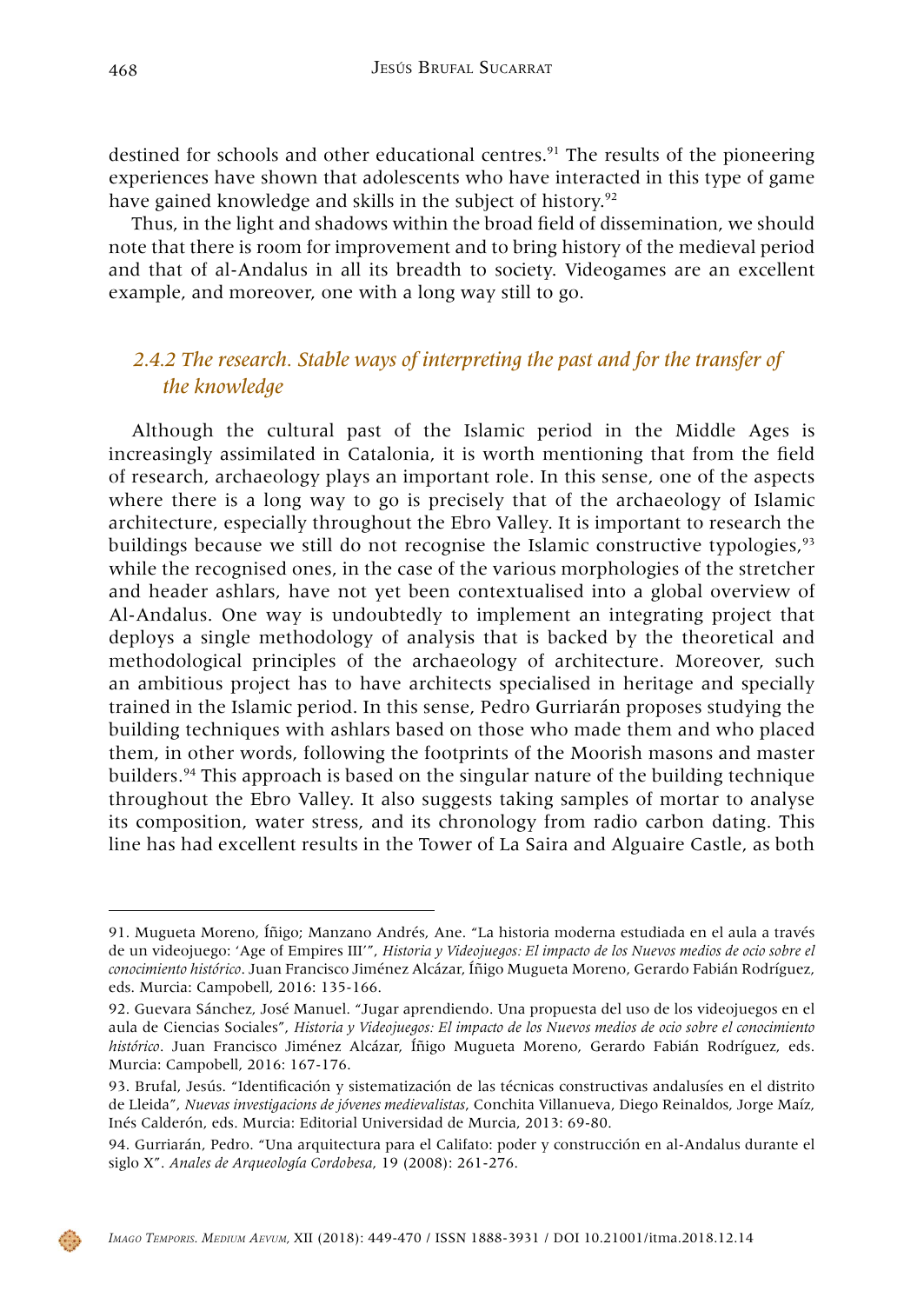destined for schools and other educational centres.<sup>91</sup> The results of the pioneering experiences have shown that adolescents who have interacted in this type of game have gained knowledge and skills in the subject of history.<sup>92</sup>

Thus, in the light and shadows within the broad field of dissemination, we should note that there is room for improvement and to bring history of the medieval period and that of al-Andalus in all its breadth to society. Videogames are an excellent example, and moreover, one with a long way still to go.

# *2.4.2 The research. Stable ways of interpreting the past and for the transfer of the knowledge*

Although the cultural past of the Islamic period in the Middle Ages is increasingly assimilated in Catalonia, it is worth mentioning that from the field of research, archaeology plays an important role. In this sense, one of the aspects where there is a long way to go is precisely that of the archaeology of Islamic architecture, especially throughout the Ebro Valley. It is important to research the buildings because we still do not recognise the Islamic constructive typologies,<sup>93</sup> while the recognised ones, in the case of the various morphologies of the stretcher and header ashlars, have not yet been contextualised into a global overview of Al-Andalus. One way is undoubtedly to implement an integrating project that deploys a single methodology of analysis that is backed by the theoretical and methodological principles of the archaeology of architecture. Moreover, such an ambitious project has to have architects specialised in heritage and specially trained in the Islamic period. In this sense, Pedro Gurriarán proposes studying the building techniques with ashlars based on those who made them and who placed them, in other words, following the footprints of the Moorish masons and master builders.94 This approach is based on the singular nature of the building technique throughout the Ebro Valley. It also suggests taking samples of mortar to analyse its composition, water stress, and its chronology from radio carbon dating. This line has had excellent results in the Tower of La Saira and Alguaire Castle, as both



<sup>91.</sup> Mugueta Moreno, Íñigo; Manzano Andrés, Ane. "La historia moderna estudiada en el aula a través de un videojuego: 'Age of Empires III'", *Historia y Videojuegos: El impacto de los Nuevos medios de ocio sobre el conocimiento histórico*. Juan Francisco Jiménez Alcázar, Íñigo Mugueta Moreno, Gerardo Fabián Rodríguez, eds. Murcia: Campobell, 2016: 135-166.

<sup>92.</sup> Guevara Sánchez, José Manuel. "Jugar aprendiendo. Una propuesta del uso de los videojuegos en el aula de Ciencias Sociales", *Historia y Videojuegos: El impacto de los Nuevos medios de ocio sobre el conocimiento histórico*. Juan Francisco Jiménez Alcázar, Íñigo Mugueta Moreno, Gerardo Fabián Rodríguez, eds. Murcia: Campobell, 2016: 167-176.

<sup>93.</sup> Brufal, Jesús. "Identificación y sistematización de las técnicas constructivas andalusíes en el distrito de Lleida", *Nuevas investigacions de jóvenes medievalistas*, Conchita Villanueva, Diego Reinaldos, Jorge Maíz, Inés Calderón, eds. Murcia: Editorial Universidad de Murcia, 2013: 69-80.

<sup>94.</sup> Gurriarán, Pedro. "Una arquitectura para el Califato: poder y construcción en al-Andalus durante el siglo X". *Anales de Arqueología Cordobesa*, 19 (2008): 261-276.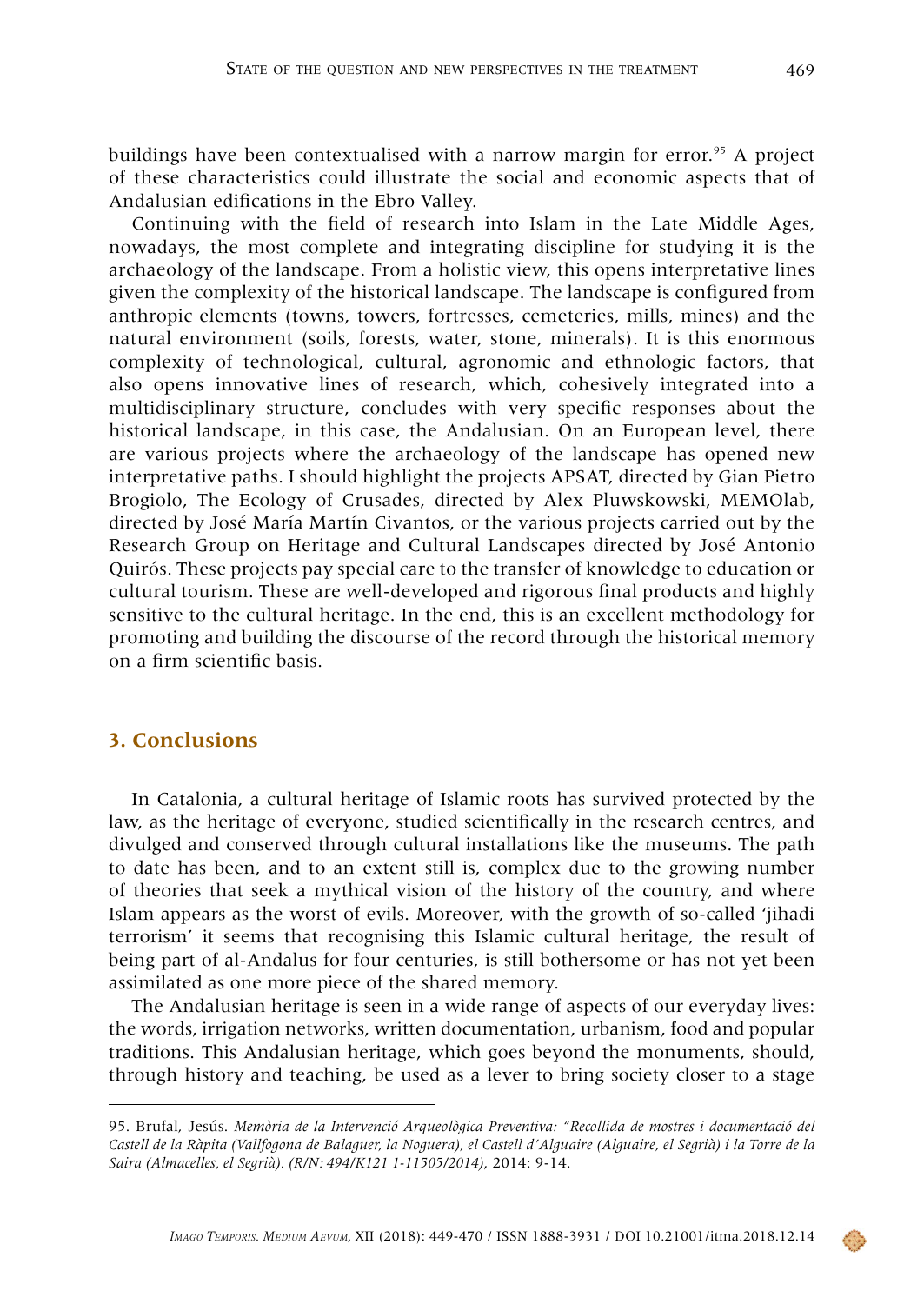buildings have been contextualised with a narrow margin for error.<sup>95</sup> A project of these characteristics could illustrate the social and economic aspects that of Andalusian edifications in the Ebro Valley.

Continuing with the field of research into Islam in the Late Middle Ages, nowadays, the most complete and integrating discipline for studying it is the archaeology of the landscape. From a holistic view, this opens interpretative lines given the complexity of the historical landscape. The landscape is configured from anthropic elements (towns, towers, fortresses, cemeteries, mills, mines) and the natural environment (soils, forests, water, stone, minerals). It is this enormous complexity of technological, cultural, agronomic and ethnologic factors, that also opens innovative lines of research, which, cohesively integrated into a multidisciplinary structure, concludes with very specific responses about the historical landscape, in this case, the Andalusian. On an European level, there are various projects where the archaeology of the landscape has opened new interpretative paths. I should highlight the projects APSAT, directed by Gian Pietro Brogiolo, The Ecology of Crusades, directed by Alex Pluwskowski, MEMOlab, directed by José María Martín Civantos, or the various projects carried out by the Research Group on Heritage and Cultural Landscapes directed by José Antonio Quirós. These projects pay special care to the transfer of knowledge to education or cultural tourism. These are well-developed and rigorous final products and highly sensitive to the cultural heritage. In the end, this is an excellent methodology for promoting and building the discourse of the record through the historical memory on a firm scientific basis.

## **3. Conclusions**

In Catalonia, a cultural heritage of Islamic roots has survived protected by the law, as the heritage of everyone, studied scientifically in the research centres, and divulged and conserved through cultural installations like the museums. The path to date has been, and to an extent still is, complex due to the growing number of theories that seek a mythical vision of the history of the country, and where Islam appears as the worst of evils. Moreover, with the growth of so-called 'jihadi terrorism' it seems that recognising this Islamic cultural heritage, the result of being part of al-Andalus for four centuries, is still bothersome or has not yet been assimilated as one more piece of the shared memory.

The Andalusian heritage is seen in a wide range of aspects of our everyday lives: the words, irrigation networks, written documentation, urbanism, food and popular traditions. This Andalusian heritage, which goes beyond the monuments, should, through history and teaching, be used as a lever to bring society closer to a stage

<sup>95.</sup> Brufal, Jesús. *Memòria de la Intervenció Arqueològica Preventiva: "Recollida de mostres i documentació del Castell de la Ràpita (Vallfogona de Balaguer, la Noguera), el Castell d'Alguaire (Alguaire, el Segrià) i la Torre de la Saira (Almacelles, el Segrià). (R/N: 494/K121 1-11505/2014)*, 2014: 9-14.